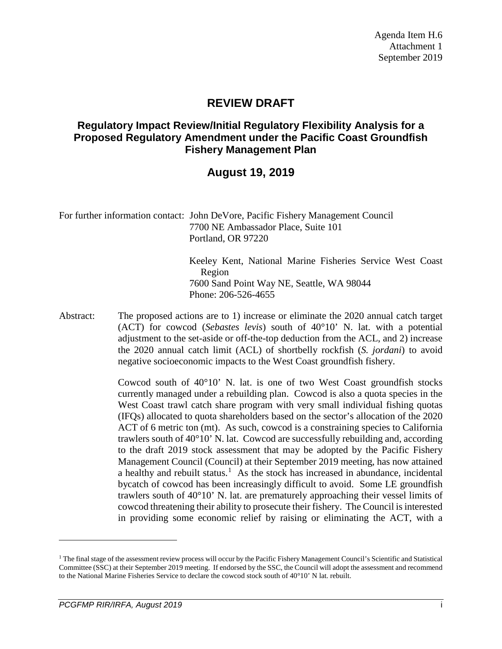### **REVIEW DRAFT**

### **Regulatory Impact Review/Initial Regulatory Flexibility Analysis for a Proposed Regulatory Amendment under the Pacific Coast Groundfish Fishery Management Plan**

### **August 19, 2019**

For further information contact: John DeVore, Pacific Fishery Management Council 7700 NE Ambassador Place, Suite 101 Portland, OR 97220

> Keeley Kent, National Marine Fisheries Service West Coast Region 7600 Sand Point Way NE, Seattle, WA 98044 Phone: 206-526-4655

Abstract: The proposed actions are to 1) increase or eliminate the 2020 annual catch target (ACT) for cowcod (*Sebastes levis*) south of 40°10' N. lat. with a potential adjustment to the set-aside or off-the-top deduction from the ACL, and 2) increase the 2020 annual catch limit (ACL) of shortbelly rockfish (*S. jordani*) to avoid negative socioeconomic impacts to the West Coast groundfish fishery.

> Cowcod south of 40°10' N. lat. is one of two West Coast groundfish stocks currently managed under a rebuilding plan. Cowcod is also a quota species in the West Coast trawl catch share program with very small individual fishing quotas (IFQs) allocated to quota shareholders based on the sector's allocation of the 2020 ACT of 6 metric ton (mt). As such, cowcod is a constraining species to California trawlers south of  $40^{\circ}10'$  N. lat. Cowcod are successfully rebuilding and, according to the draft 2019 stock assessment that may be adopted by the Pacific Fishery Management Council (Council) at their September 2019 meeting, has now attained a healthy and rebuilt status.<sup>[1](#page-0-0)</sup> As the stock has increased in abundance, incidental bycatch of cowcod has been increasingly difficult to avoid. Some LE groundfish trawlers south of 40°10' N. lat. are prematurely approaching their vessel limits of cowcod threatening their ability to prosecute their fishery. The Council is interested in providing some economic relief by raising or eliminating the ACT, with a

 $\overline{a}$ 

<span id="page-0-0"></span> $1$  The final stage of the assessment review process will occur by the Pacific Fishery Management Council's Scientific and Statistical Committee (SSC) at their September 2019 meeting. If endorsed by the SSC, the Council will adopt the assessment and recommend to the National Marine Fisheries Service to declare the cowcod stock south of 40°10' N lat. rebuilt.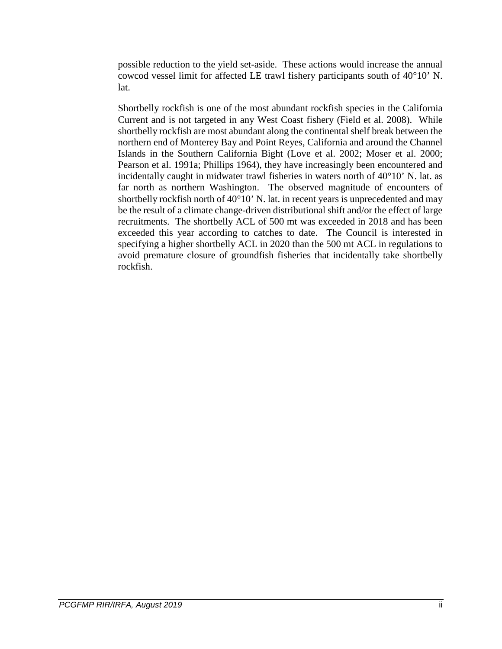possible reduction to the yield set-aside. These actions would increase the annual cowcod vessel limit for affected LE trawl fishery participants south of 40°10' N. lat.

Shortbelly rockfish is one of the most abundant rockfish species in the California Current and is not targeted in any West Coast fishery (Field et al. 2008). While shortbelly rockfish are most abundant along the continental shelf break between the northern end of Monterey Bay and Point Reyes, California and around the Channel Islands in the Southern California Bight (Love et al. 2002; Moser et al. 2000; Pearson et al. 1991a; Phillips 1964), they have increasingly been encountered and incidentally caught in midwater trawl fisheries in waters north of 40°10' N. lat. as far north as northern Washington. The observed magnitude of encounters of shortbelly rockfish north of 40°10' N. lat. in recent years is unprecedented and may be the result of a climate change-driven distributional shift and/or the effect of large recruitments. The shortbelly ACL of 500 mt was exceeded in 2018 and has been exceeded this year according to catches to date. The Council is interested in specifying a higher shortbelly ACL in 2020 than the 500 mt ACL in regulations to avoid premature closure of groundfish fisheries that incidentally take shortbelly rockfish.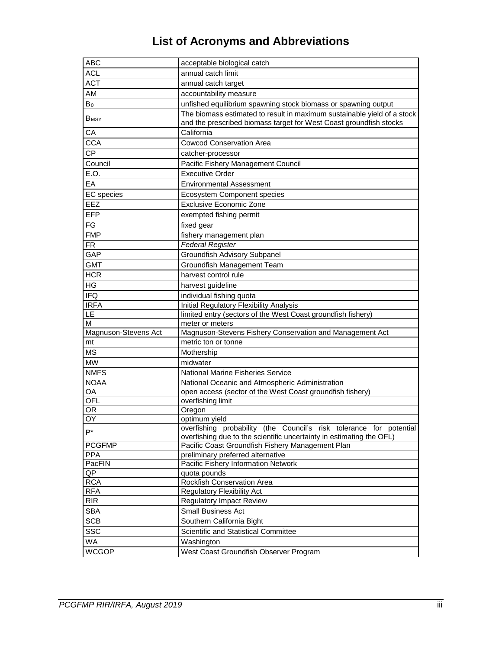# **List of Acronyms and Abbreviations**

| <b>ABC</b>              | acceptable biological catch                                                                                                                   |
|-------------------------|-----------------------------------------------------------------------------------------------------------------------------------------------|
| <b>ACL</b>              | annual catch limit                                                                                                                            |
| <b>ACT</b>              | annual catch target                                                                                                                           |
| AM                      | accountability measure                                                                                                                        |
| $B_0$                   | unfished equilibrium spawning stock biomass or spawning output                                                                                |
| <b>B</b> <sub>MSY</sub> | The biomass estimated to result in maximum sustainable yield of a stock<br>and the prescribed biomass target for West Coast groundfish stocks |
| CA                      | California                                                                                                                                    |
| <b>CCA</b>              | <b>Cowcod Conservation Area</b>                                                                                                               |
| <b>CP</b>               | catcher-processor                                                                                                                             |
| Council                 | Pacific Fishery Management Council                                                                                                            |
| E.O.                    | <b>Executive Order</b>                                                                                                                        |
| EA                      | <b>Environmental Assessment</b>                                                                                                               |
| <b>EC</b> species       | Ecosystem Component species                                                                                                                   |
| EEZ                     | <b>Exclusive Economic Zone</b>                                                                                                                |
| <b>EFP</b>              | exempted fishing permit                                                                                                                       |
| FG                      | fixed gear                                                                                                                                    |
| <b>FMP</b>              | fishery management plan                                                                                                                       |
| <b>FR</b>               | Federal Register                                                                                                                              |
| GAP                     | <b>Groundfish Advisory Subpanel</b>                                                                                                           |
| <b>GMT</b>              | Groundfish Management Team                                                                                                                    |
| <b>HCR</b>              | harvest control rule                                                                                                                          |
| HG                      | harvest guideline                                                                                                                             |
| <b>IFQ</b>              |                                                                                                                                               |
| <b>IRFA</b>             | individual fishing quota                                                                                                                      |
| LE                      | Initial Regulatory Flexibility Analysis<br>limited entry (sectors of the West Coast groundfish fishery)                                       |
| М                       | meter or meters                                                                                                                               |
| Magnuson-Stevens Act    | Magnuson-Stevens Fishery Conservation and Management Act                                                                                      |
| mt                      | metric ton or tonne                                                                                                                           |
| <b>MS</b>               | Mothership                                                                                                                                    |
| <b>MW</b>               | midwater                                                                                                                                      |
| <b>NMFS</b>             | <b>National Marine Fisheries Service</b>                                                                                                      |
| <b>NOAA</b>             | National Oceanic and Atmospheric Administration                                                                                               |
| OA                      | open access (sector of the West Coast groundfish fishery)                                                                                     |
| <b>OFL</b>              | overfishing limit                                                                                                                             |
| OR.                     | Oregon                                                                                                                                        |
| 0Y                      | optimum yield                                                                                                                                 |
| $P^*$                   | overfishing probability (the Council's risk tolerance for potential                                                                           |
|                         | overfishing due to the scientific uncertainty in estimating the OFL)                                                                          |
| <b>PCGFMP</b>           | Pacific Coast Groundfish Fishery Management Plan                                                                                              |
| <b>PPA</b><br>PacFIN    | preliminary preferred alternative<br>Pacific Fishery Information Network                                                                      |
| QP                      | quota pounds                                                                                                                                  |
| <b>RCA</b>              | Rockfish Conservation Area                                                                                                                    |
| <b>RFA</b>              | <b>Regulatory Flexibility Act</b>                                                                                                             |
| <b>RIR</b>              | <b>Regulatory Impact Review</b>                                                                                                               |
| <b>SBA</b>              | <b>Small Business Act</b>                                                                                                                     |
| <b>SCB</b>              | Southern California Bight                                                                                                                     |
| <b>SSC</b>              | Scientific and Statistical Committee                                                                                                          |
| WA                      |                                                                                                                                               |
| <b>WCGOP</b>            | Washington                                                                                                                                    |
|                         | West Coast Groundfish Observer Program                                                                                                        |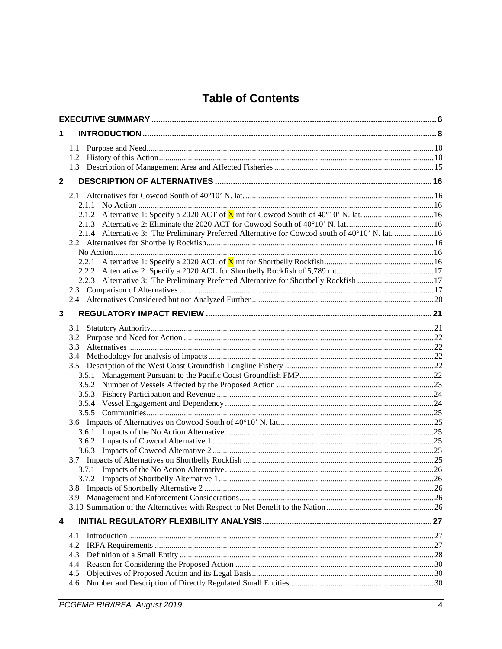## **Table of Contents**

| 1            |                                                                                                  |  |
|--------------|--------------------------------------------------------------------------------------------------|--|
|              | 1.1                                                                                              |  |
|              | 1.2                                                                                              |  |
|              |                                                                                                  |  |
| $\mathbf{2}$ |                                                                                                  |  |
|              |                                                                                                  |  |
|              | 2.1.1                                                                                            |  |
|              |                                                                                                  |  |
|              |                                                                                                  |  |
|              | 2.1.4 Alternative 3: The Preliminary Preferred Alternative for Cowcod south of 40°10' N. lat. 16 |  |
|              |                                                                                                  |  |
|              |                                                                                                  |  |
|              | 2.2.1                                                                                            |  |
|              | 2.2.3 Alternative 3: The Preliminary Preferred Alternative for Shortbelly Rockfish 17            |  |
|              |                                                                                                  |  |
|              |                                                                                                  |  |
|              |                                                                                                  |  |
| 3            |                                                                                                  |  |
|              | 3.1                                                                                              |  |
|              | 3.2                                                                                              |  |
|              | 3.3                                                                                              |  |
|              | 3.4                                                                                              |  |
|              | 3.5                                                                                              |  |
|              |                                                                                                  |  |
|              |                                                                                                  |  |
|              | 3.5.3                                                                                            |  |
|              |                                                                                                  |  |
|              |                                                                                                  |  |
|              |                                                                                                  |  |
|              |                                                                                                  |  |
|              |                                                                                                  |  |
|              |                                                                                                  |  |
|              |                                                                                                  |  |
|              |                                                                                                  |  |
|              |                                                                                                  |  |
|              | 3.9                                                                                              |  |
|              |                                                                                                  |  |
| 4            |                                                                                                  |  |
|              | 4.1                                                                                              |  |
|              | 4.2                                                                                              |  |
|              | 4.3                                                                                              |  |
|              | 4.4                                                                                              |  |
|              | 4.5                                                                                              |  |
|              | 4.6                                                                                              |  |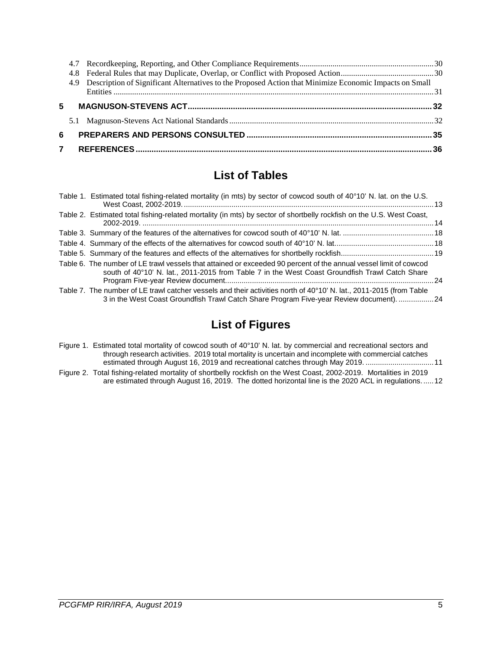|    | 4.9 Description of Significant Alternatives to the Proposed Action that Minimize Economic Impacts on Small |  |
|----|------------------------------------------------------------------------------------------------------------|--|
|    |                                                                                                            |  |
| 5. |                                                                                                            |  |
|    |                                                                                                            |  |
| 6  |                                                                                                            |  |
| 7  |                                                                                                            |  |

## **List of Tables**

| Table 1. Estimated total fishing-related mortality (in mts) by sector of cowcod south of 40°10' N. lat. on the U.S.                                                                                                 |  |
|---------------------------------------------------------------------------------------------------------------------------------------------------------------------------------------------------------------------|--|
| Table 2. Estimated total fishing-related mortality (in mts) by sector of shortbelly rockfish on the U.S. West Coast,                                                                                                |  |
|                                                                                                                                                                                                                     |  |
|                                                                                                                                                                                                                     |  |
|                                                                                                                                                                                                                     |  |
| Table 6. The number of LE trawl vessels that attained or exceeded 90 percent of the annual vessel limit of cowcod<br>south of 40°10' N. lat., 2011-2015 from Table 7 in the West Coast Groundfish Trawl Catch Share |  |
| Table 7. The number of LE trawl catcher vessels and their activities north of 40°10' N. lat., 2011-2015 (from Table<br>3 in the West Coast Groundfish Trawl Catch Share Program Five-year Review document). 24      |  |

## **List of Figures**

- [Figure 1. Estimated total mortality of cowcod south of 40°10' N. lat. by commercial and recreational sectors and](#page-10-0)  [through research activities. 2019 total mortality is uncertain and incomplete with commercial catches](#page-10-0)  [estimated through August 16, 2019 and recreational catches through May 2019.](#page-10-0) .................................11
- [Figure 2. Total fishing-related mortality of shortbelly rockfish on the West Coast, 2002-2019. Mortalities in 2019](#page-11-0)  are estimated through August 16, 2019. The [dotted horizontal line is the 2020 ACL in regulations......12](#page-11-0)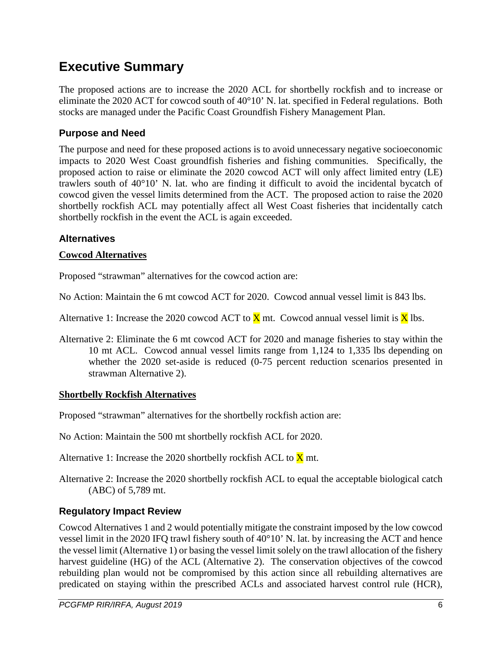# <span id="page-5-0"></span>**Executive Summary**

The proposed actions are to increase the 2020 ACL for shortbelly rockfish and to increase or eliminate the 2020 ACT for cowcod south of 40°10' N. lat. specified in Federal regulations. Both stocks are managed under the Pacific Coast Groundfish Fishery Management Plan.

### **Purpose and Need**

The purpose and need for these proposed actions is to avoid unnecessary negative socioeconomic impacts to 2020 West Coast groundfish fisheries and fishing communities. Specifically, the proposed action to raise or eliminate the 2020 cowcod ACT will only affect limited entry (LE) trawlers south of 40°10' N. lat. who are finding it difficult to avoid the incidental bycatch of cowcod given the vessel limits determined from the ACT. The proposed action to raise the 2020 shortbelly rockfish ACL may potentially affect all West Coast fisheries that incidentally catch shortbelly rockfish in the event the ACL is again exceeded.

### **Alternatives**

#### **Cowcod Alternatives**

Proposed "strawman" alternatives for the cowcod action are:

No Action: Maintain the 6 mt cowcod ACT for 2020. Cowcod annual vessel limit is 843 lbs.

Alternative 1: Increase the 2020 cowcod ACT to  $\bar{X}$  mt. Cowcod annual vessel limit is  $\bar{X}$  lbs.

Alternative 2: Eliminate the 6 mt cowcod ACT for 2020 and manage fisheries to stay within the 10 mt ACL. Cowcod annual vessel limits range from 1,124 to 1,335 lbs depending on whether the 2020 set-aside is reduced (0-75 percent reduction scenarios presented in strawman Alternative 2).

#### **Shortbelly Rockfish Alternatives**

Proposed "strawman" alternatives for the shortbelly rockfish action are:

No Action: Maintain the 500 mt shortbelly rockfish ACL for 2020.

Alternative 1: Increase the 2020 shortbelly rockfish ACL to  $\bar{X}$  mt.

Alternative 2: Increase the 2020 shortbelly rockfish ACL to equal the acceptable biological catch (ABC) of 5,789 mt.

### **Regulatory Impact Review**

Cowcod Alternatives 1 and 2 would potentially mitigate the constraint imposed by the low cowcod vessel limit in the 2020 IFQ trawl fishery south of 40°10' N. lat. by increasing the ACT and hence the vessel limit (Alternative 1) or basing the vessel limit solely on the trawl allocation of the fishery harvest guideline (HG) of the ACL (Alternative 2). The conservation objectives of the cowcod rebuilding plan would not be compromised by this action since all rebuilding alternatives are predicated on staying within the prescribed ACLs and associated harvest control rule (HCR),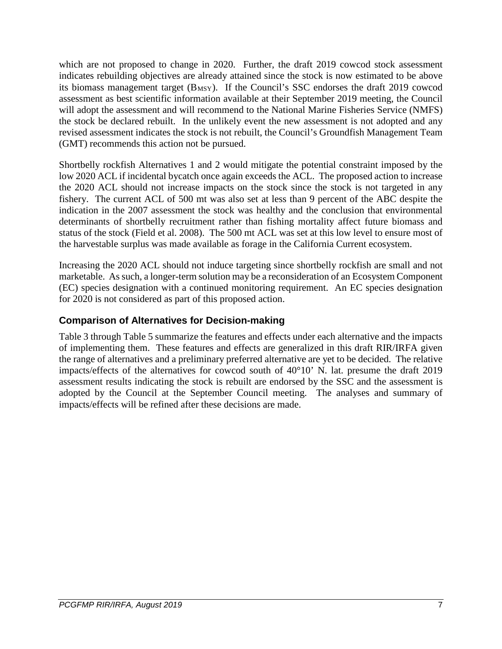which are not proposed to change in 2020. Further, the draft 2019 cowcod stock assessment indicates rebuilding objectives are already attained since the stock is now estimated to be above its biomass management target  $(B_{MSY})$ . If the Council's SSC endorses the draft 2019 cowcod assessment as best scientific information available at their September 2019 meeting, the Council will adopt the assessment and will recommend to the National Marine Fisheries Service (NMFS) the stock be declared rebuilt. In the unlikely event the new assessment is not adopted and any revised assessment indicates the stock is not rebuilt, the Council's Groundfish Management Team (GMT) recommends this action not be pursued.

Shortbelly rockfish Alternatives 1 and 2 would mitigate the potential constraint imposed by the low 2020 ACL if incidental bycatch once again exceeds the ACL. The proposed action to increase the 2020 ACL should not increase impacts on the stock since the stock is not targeted in any fishery. The current ACL of 500 mt was also set at less than 9 percent of the ABC despite the indication in the 2007 assessment the stock was healthy and the conclusion that environmental determinants of shortbelly recruitment rather than fishing mortality affect future biomass and status of the stock (Field et al. 2008). The 500 mt ACL was set at this low level to ensure most of the harvestable surplus was made available as forage in the California Current ecosystem.

Increasing the 2020 ACL should not induce targeting since shortbelly rockfish are small and not marketable. As such, a longer-term solution may be a reconsideration of an Ecosystem Component (EC) species designation with a continued monitoring requirement. An EC species designation for 2020 is not considered as part of this proposed action.

### **Comparison of Alternatives for Decision-making**

[Table 3](#page-17-0) through [Table 5](#page-18-0) summarize the features and effects under each alternative and the impacts of implementing them. These features and effects are generalized in this draft RIR/IRFA given the range of alternatives and a preliminary preferred alternative are yet to be decided. The relative impacts/effects of the alternatives for cowcod south of 40°10' N. lat. presume the draft 2019 assessment results indicating the stock is rebuilt are endorsed by the SSC and the assessment is adopted by the Council at the September Council meeting. The analyses and summary of impacts/effects will be refined after these decisions are made.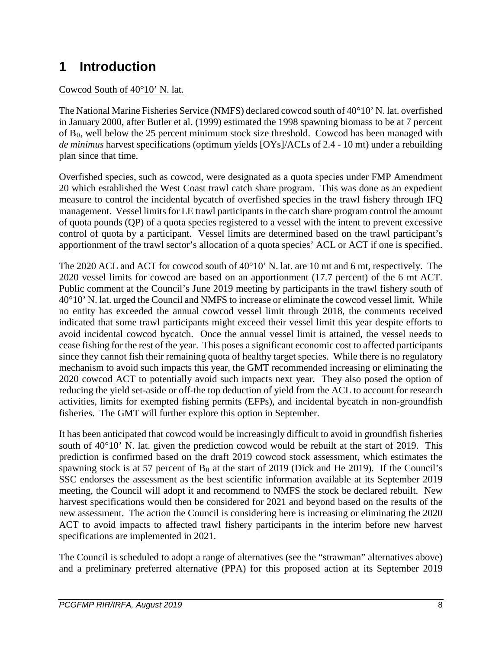# <span id="page-7-0"></span>**1 Introduction**

### Cowcod South of 40°10' N. lat.

The National Marine Fisheries Service (NMFS) declared cowcod south of 40°10' N. lat. overfished in January 2000, after Butler et al. (1999) estimated the 1998 spawning biomass to be at 7 percent of  $B_0$ , well below the 25 percent minimum stock size threshold. Cowcod has been managed with *de minimus* harvest specifications (optimum yields [OYs]/ACLs of 2.4 - 10 mt) under a rebuilding plan since that time.

Overfished species, such as cowcod, were designated as a quota species under FMP Amendment 20 which established the West Coast trawl catch share program. This was done as an expedient measure to control the incidental bycatch of overfished species in the trawl fishery through IFQ management. Vessel limits for LE trawl participants in the catch share program control the amount of quota pounds (QP) of a quota species registered to a vessel with the intent to prevent excessive control of quota by a participant. Vessel limits are determined based on the trawl participant's apportionment of the trawl sector's allocation of a quota species' ACL or ACT if one is specified.

The 2020 ACL and ACT for cowcod south of 40°10' N. lat. are 10 mt and 6 mt, respectively. The 2020 vessel limits for cowcod are based on an apportionment (17.7 percent) of the 6 mt ACT. Public comment at the Council's June 2019 meeting by participants in the trawl fishery south of 40°10' N. lat. urged the Council and NMFS to increase or eliminate the cowcod vessel limit. While no entity has exceeded the annual cowcod vessel limit through 2018, the comments received indicated that some trawl participants might exceed their vessel limit this year despite efforts to avoid incidental cowcod bycatch. Once the annual vessel limit is attained, the vessel needs to cease fishing for the rest of the year. This poses a significant economic cost to affected participants since they cannot fish their remaining quota of healthy target species. While there is no regulatory mechanism to avoid such impacts this year, the GMT recommended increasing or eliminating the 2020 cowcod ACT to potentially avoid such impacts next year. They also posed the option of reducing the yield set-aside or off-the top deduction of yield from the ACL to account for research activities, limits for exempted fishing permits (EFPs), and incidental bycatch in non-groundfish fisheries. The GMT will further explore this option in September.

It has been anticipated that cowcod would be increasingly difficult to avoid in groundfish fisheries south of 40°10' N. lat. given the prediction cowcod would be rebuilt at the start of 2019. This prediction is confirmed based on the draft 2019 cowcod stock assessment, which estimates the spawning stock is at 57 percent of  $B_0$  at the start of 2019 (Dick and He 2019). If the Council's SSC endorses the assessment as the best scientific information available at its September 2019 meeting, the Council will adopt it and recommend to NMFS the stock be declared rebuilt. New harvest specifications would then be considered for 2021 and beyond based on the results of the new assessment. The action the Council is considering here is increasing or eliminating the 2020 ACT to avoid impacts to affected trawl fishery participants in the interim before new harvest specifications are implemented in 2021.

The Council is scheduled to adopt a range of alternatives (see the "strawman" alternatives above) and a preliminary preferred alternative (PPA) for this proposed action at its September 2019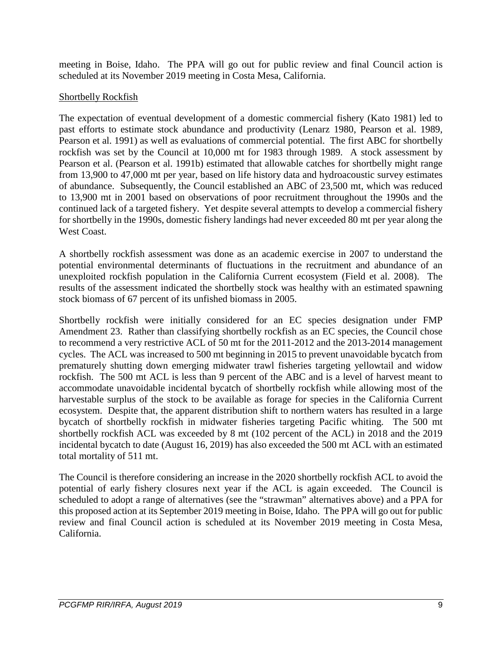meeting in Boise, Idaho. The PPA will go out for public review and final Council action is scheduled at its November 2019 meeting in Costa Mesa, California.

#### Shortbelly Rockfish

The expectation of eventual development of a domestic commercial fishery (Kato 1981) led to past efforts to estimate stock abundance and productivity (Lenarz 1980, Pearson et al. 1989, Pearson et al. 1991) as well as evaluations of commercial potential. The first ABC for shortbelly rockfish was set by the Council at 10,000 mt for 1983 through 1989. A stock assessment by Pearson et al. (Pearson et al. 1991b) estimated that allowable catches for shortbelly might range from 13,900 to 47,000 mt per year, based on life history data and hydroacoustic survey estimates of abundance. Subsequently, the Council established an ABC of 23,500 mt, which was reduced to 13,900 mt in 2001 based on observations of poor recruitment throughout the 1990s and the continued lack of a targeted fishery. Yet despite several attempts to develop a commercial fishery for shortbelly in the 1990s, domestic fishery landings had never exceeded 80 mt per year along the West Coast.

A shortbelly rockfish assessment was done as an academic exercise in 2007 to understand the potential environmental determinants of fluctuations in the recruitment and abundance of an unexploited rockfish population in the California Current ecosystem (Field et al. 2008). The results of the assessment indicated the shortbelly stock was healthy with an estimated spawning stock biomass of 67 percent of its unfished biomass in 2005.

Shortbelly rockfish were initially considered for an EC species designation under FMP Amendment 23. Rather than classifying shortbelly rockfish as an EC species, the Council chose to recommend a very restrictive ACL of 50 mt for the 2011-2012 and the 2013-2014 management cycles. The ACL was increased to 500 mt beginning in 2015 to prevent unavoidable bycatch from prematurely shutting down emerging midwater trawl fisheries targeting yellowtail and widow rockfish. The 500 mt ACL is less than 9 percent of the ABC and is a level of harvest meant to accommodate unavoidable incidental bycatch of shortbelly rockfish while allowing most of the harvestable surplus of the stock to be available as forage for species in the California Current ecosystem. Despite that, the apparent distribution shift to northern waters has resulted in a large bycatch of shortbelly rockfish in midwater fisheries targeting Pacific whiting. The 500 mt shortbelly rockfish ACL was exceeded by 8 mt (102 percent of the ACL) in 2018 and the 2019 incidental bycatch to date (August 16, 2019) has also exceeded the 500 mt ACL with an estimated total mortality of 511 mt.

The Council is therefore considering an increase in the 2020 shortbelly rockfish ACL to avoid the potential of early fishery closures next year if the ACL is again exceeded. The Council is scheduled to adopt a range of alternatives (see the "strawman" alternatives above) and a PPA for this proposed action at its September 2019 meeting in Boise, Idaho. The PPA will go out for public review and final Council action is scheduled at its November 2019 meeting in Costa Mesa, California.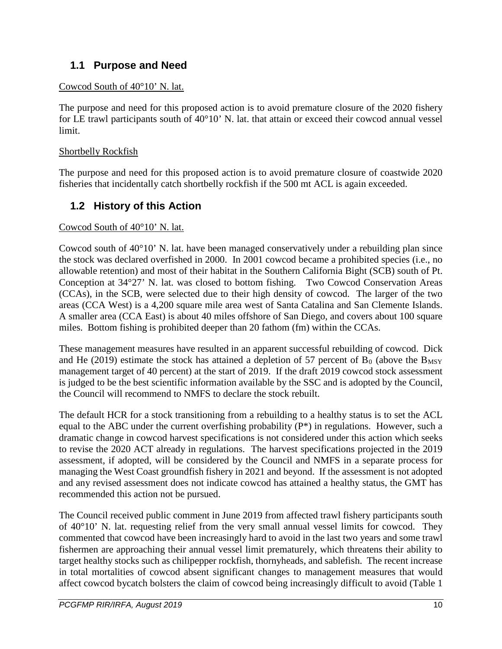### <span id="page-9-0"></span>**1.1 Purpose and Need**

### Cowcod South of 40°10' N. lat.

The purpose and need for this proposed action is to avoid premature closure of the 2020 fishery for LE trawl participants south of 40°10' N. lat. that attain or exceed their cowcod annual vessel limit.

### Shortbelly Rockfish

The purpose and need for this proposed action is to avoid premature closure of coastwide 2020 fisheries that incidentally catch shortbelly rockfish if the 500 mt ACL is again exceeded.

### <span id="page-9-1"></span>**1.2 History of this Action**

### Cowcod South of 40°10' N. lat.

Cowcod south of  $40^{\circ}10'$  N. lat. have been managed conservatively under a rebuilding plan since the stock was declared overfished in 2000. In 2001 cowcod became a prohibited species (i.e., no allowable retention) and most of their habitat in the Southern California Bight (SCB) south of Pt. Conception at 34°27' N. lat. was closed to bottom fishing. Two Cowcod Conservation Areas (CCAs), in the SCB, were selected due to their high density of cowcod. The larger of the two areas (CCA West) is a 4,200 square mile area west of Santa Catalina and San Clemente Islands. A smaller area (CCA East) is about 40 miles offshore of San Diego, and covers about 100 square miles. Bottom fishing is prohibited deeper than 20 fathom (fm) within the CCAs.

These management measures have resulted in an apparent successful rebuilding of cowcod. Dick and He (2019) estimate the stock has attained a depletion of 57 percent of  $B_0$  (above the  $B_{MSY}$ management target of 40 percent) at the start of 2019. If the draft 2019 cowcod stock assessment is judged to be the best scientific information available by the SSC and is adopted by the Council, the Council will recommend to NMFS to declare the stock rebuilt.

The default HCR for a stock transitioning from a rebuilding to a healthy status is to set the ACL equal to the ABC under the current overfishing probability (P\*) in regulations. However, such a dramatic change in cowcod harvest specifications is not considered under this action which seeks to revise the 2020 ACT already in regulations. The harvest specifications projected in the 2019 assessment, if adopted, will be considered by the Council and NMFS in a separate process for managing the West Coast groundfish fishery in 2021 and beyond. If the assessment is not adopted and any revised assessment does not indicate cowcod has attained a healthy status, the GMT has recommended this action not be pursued.

The Council received public comment in June 2019 from affected trawl fishery participants south of 40°10' N. lat. requesting relief from the very small annual vessel limits for cowcod. They commented that cowcod have been increasingly hard to avoid in the last two years and some trawl fishermen are approaching their annual vessel limit prematurely, which threatens their ability to target healthy stocks such as chilipepper rockfish, thornyheads, and sablefish. The recent increase in total mortalities of cowcod absent significant changes to management measures that would affect cowcod bycatch bolsters the claim of cowcod being increasingly difficult to avoid [\(Table 1](#page-12-0)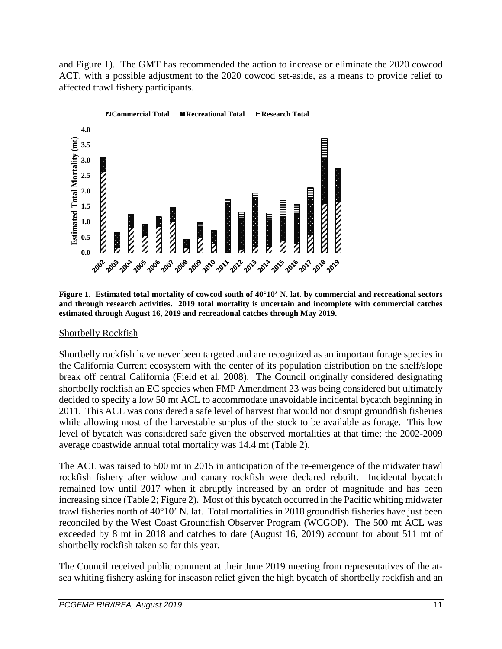and [Figure 1\)](#page-10-0). The GMT has recommended the action to increase or eliminate the 2020 cowcod ACT, with a possible adjustment to the 2020 cowcod set-aside, as a means to provide relief to affected trawl fishery participants.



<span id="page-10-0"></span>**Figure 1. Estimated total mortality of cowcod south of 40°10' N. lat. by commercial and recreational sectors and through research activities. 2019 total mortality is uncertain and incomplete with commercial catches estimated through August 16, 2019 and recreational catches through May 2019.**

#### Shortbelly Rockfish

Shortbelly rockfish have never been targeted and are recognized as an important forage species in the California Current ecosystem with the center of its population distribution on the shelf/slope break off central California (Field et al. 2008). The Council originally considered designating shortbelly rockfish an EC species when FMP Amendment 23 was being considered but ultimately decided to specify a low 50 mt ACL to accommodate unavoidable incidental bycatch beginning in 2011. This ACL was considered a safe level of harvest that would not disrupt groundfish fisheries while allowing most of the harvestable surplus of the stock to be available as forage. This low level of bycatch was considered safe given the observed mortalities at that time; the 2002-2009 average coastwide annual total mortality was 14.4 mt [\(Table 2\)](#page-13-0).

The ACL was raised to 500 mt in 2015 in anticipation of the re-emergence of the midwater trawl rockfish fishery after widow and canary rockfish were declared rebuilt. Incidental bycatch remained low until 2017 when it abruptly increased by an order of magnitude and has been increasing since [\(Table 2;](#page-13-0) [Figure 2\)](#page-11-0). Most of this bycatch occurred in the Pacific whiting midwater trawl fisheries north of 40°10' N. lat. Total mortalities in 2018 groundfish fisheries have just been reconciled by the West Coast Groundfish Observer Program (WCGOP). The 500 mt ACL was exceeded by 8 mt in 2018 and catches to date (August 16, 2019) account for about 511 mt of shortbelly rockfish taken so far this year.

The Council received public comment at their June 2019 meeting from representatives of the atsea whiting fishery asking for inseason relief given the high bycatch of shortbelly rockfish and an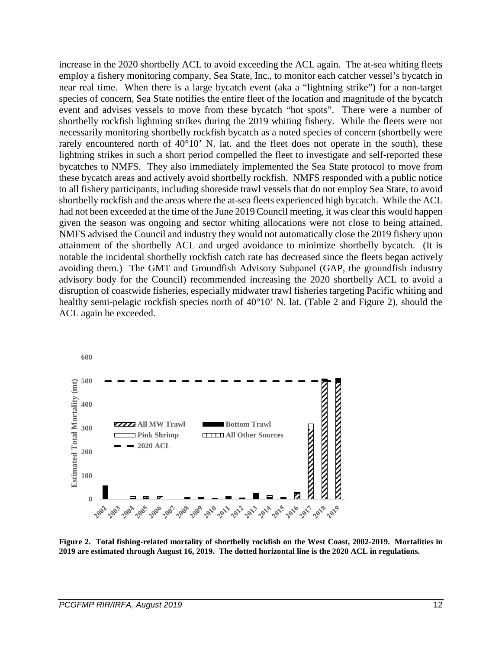increase in the 2020 shortbelly ACL to avoid exceeding the ACL again. The at-sea whiting fleets employ a fishery monitoring company, Sea State, Inc., to monitor each catcher vessel's bycatch in near real time. When there is a large bycatch event (aka a "lightning strike") for a non-target species of concern, Sea State notifies the entire fleet of the location and magnitude of the bycatch event and advises vessels to move from these bycatch "hot spots". There were a number of shortbelly rockfish lightning strikes during the 2019 whiting fishery. While the fleets were not necessarily monitoring shortbelly rockfish bycatch as a noted species of concern (shortbelly were rarely encountered north of  $40^{\circ}10'$ . N. lat. and the fleet does not operate in the south), these lightning strikes in such a short period compelled the fleet to investigate and self-reported these bycatches to NMFS. They also immediately implemented the Sea State protocol to move from these bycatch areas and actively avoid shortbelly rockfish. NMFS responded with a public notice to all fishery participants, including shoreside trawl vessels that do not employ Sea State, to avoid shortbelly rockfish and the areas where the at-sea fleets experienced high bycatch. While the ACL had not been exceeded at the time of the June 2019 Council meeting, it was clear this would happen given the season was ongoing and sector whiting allocations were not close to being attained. NMFS advised the Council and industry they would not automatically close the 2019 fishery upon attainment of the shortbelly ACL and urged avoidance to minimize shortbelly bycatch. (It is notable the incidental shortbelly rockfish catch rate has decreased since the fleets began actively avoiding them.) The GMT and Groundfish Advisory Subpanel (GAP, the groundfish industry advisory body for the Council) recommended increasing the 2020 shortbelly ACL to avoid a disruption of coastwide fisheries, especially midwater trawl fisheries targeting Pacific whiting and healthy semi-pelagic rockfish species north of 40°10' N. lat. [\(Table 2](#page-13-0) and [Figure 2\)](#page-11-0), should the ACL again be exceeded.



<span id="page-11-0"></span>**Figure 2. Total fishing-related mortality of shortbelly rockfish on the West Coast, 2002-2019. Mortalities in 2019 are estimated through August 16, 2019. The dotted horizontal line is the 2020 ACL in regulations.**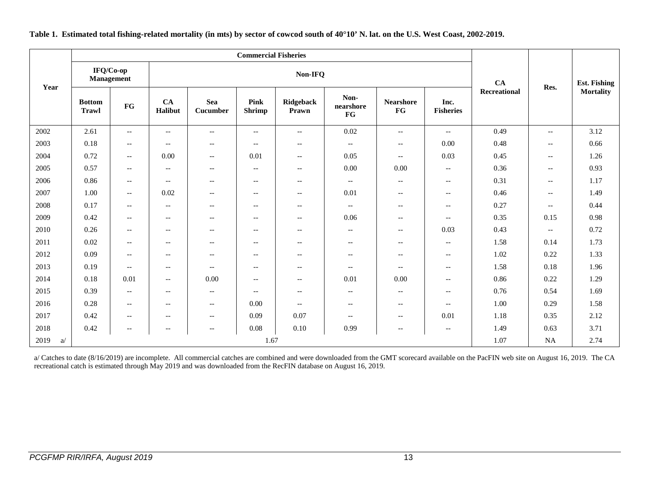<span id="page-12-0"></span>

| Year       |                               | IFQ/Co-op<br>Management                             |                          |                          |                              | <b>CA</b>                                             | Res.                     | <b>Est. Fishing</b>      |                          |                     |                                                     |                  |
|------------|-------------------------------|-----------------------------------------------------|--------------------------|--------------------------|------------------------------|-------------------------------------------------------|--------------------------|--------------------------|--------------------------|---------------------|-----------------------------------------------------|------------------|
|            | <b>Bottom</b><br><b>Trawl</b> | FG                                                  | CA<br>Halibut            | Sea<br>Cucumber          | <b>Pink</b><br><b>Shrimp</b> | Ridgeback<br>Prawn                                    | Non-<br>nearshore<br>FG  | <b>Nearshore</b><br>FG   | Inc.<br><b>Fisheries</b> | <b>Recreational</b> |                                                     | <b>Mortality</b> |
| 2002       | 2.61                          | $\hspace{0.05cm} -\hspace{0.05cm} -\hspace{0.05cm}$ | $\overline{\phantom{m}}$ | $\overline{\phantom{a}}$ | $\overline{\phantom{a}}$     | $\overline{\phantom{a}}$                              | 0.02                     | $\overline{\phantom{a}}$ | $-$                      | 0.49                | $\overline{\phantom{a}}$                            | 3.12             |
| 2003       | 0.18                          | $\hspace{0.05cm} -\hspace{0.05cm} -\hspace{0.05cm}$ | $\overline{\phantom{a}}$ | $\overline{\phantom{a}}$ | $\overline{\phantom{a}}$     | $--$                                                  | $\overline{\phantom{a}}$ | $\overline{\phantom{a}}$ | 0.00                     | 0.48                | $--$                                                | 0.66             |
| 2004       | 0.72                          | $\overline{\phantom{m}}$                            | 0.00                     | $\overline{\phantom{a}}$ | 0.01                         | $\hspace{0.05cm} -\hspace{0.05cm} -\hspace{0.05cm}$   | 0.05                     | $\overline{\phantom{m}}$ | 0.03                     | 0.45                | $\hspace{0.05cm} -\hspace{0.05cm} -\hspace{0.05cm}$ | 1.26             |
| 2005       | 0.57                          | $\overline{\phantom{m}}$                            | $\overline{\phantom{m}}$ | $\overline{\phantom{a}}$ | $--$                         | $--$                                                  | 0.00                     | 0.00                     | $-$                      | 0.36                | $\overline{\phantom{m}}$                            | 0.93             |
| 2006       | 0.86                          | $\overline{\phantom{m}}$                            | $\overline{\phantom{m}}$ | $\overline{\phantom{a}}$ | $--$                         | $\hspace{0.05cm} - \hspace{0.05cm} - \hspace{0.05cm}$ | $\overline{\phantom{a}}$ | $-$                      | $\overline{\phantom{m}}$ | 0.31                | $\overline{\phantom{m}}$                            | 1.17             |
| 2007       | 1.00                          | $--$                                                | 0.02                     | $\overline{\phantom{a}}$ | $--$                         | $- -$                                                 | 0.01                     | $\overline{\phantom{a}}$ | $\qquad \qquad -$        | 0.46                | $-$                                                 | 1.49             |
| 2008       | 0.17                          | $\hspace{0.05cm} -\hspace{0.05cm} -\hspace{0.05cm}$ | $\overline{\phantom{m}}$ | $\overline{\phantom{a}}$ | $--$                         | $--$                                                  | $--$                     | $\overline{\phantom{a}}$ | $-$                      | 0.27                | $\overline{\phantom{a}}$                            | 0.44             |
| 2009       | 0.42                          | $\hspace{0.05cm} -\hspace{0.05cm} -\hspace{0.05cm}$ | $\overline{\phantom{m}}$ | $\overline{\phantom{a}}$ | $--$                         | $--$                                                  | 0.06                     | $\overline{\phantom{a}}$ | $\overline{\phantom{m}}$ | 0.35                | 0.15                                                | 0.98             |
| 2010       | 0.26                          | $- -$                                               | $\overline{\phantom{m}}$ | $\overline{\phantom{a}}$ | $--$                         | $- -$                                                 | $--$                     | $\overline{\phantom{a}}$ | 0.03                     | 0.43                | $\overline{\phantom{a}}$                            | 0.72             |
| 2011       | 0.02                          | $\overline{\phantom{m}}$                            | $\overline{\phantom{m}}$ | $\overline{\phantom{a}}$ | $--$                         | $- -$                                                 | $\overline{\phantom{m}}$ | $\overline{\phantom{a}}$ | $\overline{\phantom{m}}$ | 1.58                | 0.14                                                | 1.73             |
| 2012       | 0.09                          | $\hspace{0.05cm} -\hspace{0.05cm} -\hspace{0.05cm}$ | $\overline{\phantom{m}}$ | $\overline{\phantom{a}}$ | $--$                         | $--$                                                  | $\overline{\phantom{a}}$ | $\overline{\phantom{a}}$ | $-$                      | 1.02                | 0.22                                                | 1.33             |
| 2013       | 0.19                          | $\overline{\phantom{a}}$                            | $\overline{\phantom{a}}$ | $\overline{\phantom{a}}$ | $\overline{\phantom{a}}$     | $-$                                                   | $\overline{\phantom{a}}$ | $\overline{\phantom{a}}$ | $\overline{\phantom{m}}$ | 1.58                | 0.18                                                | 1.96             |
| 2014       | 0.18                          | 0.01                                                | $\overline{\phantom{m}}$ | 0.00                     | $- -$                        | $\hspace{0.05cm} - \hspace{0.05cm} - \hspace{0.05cm}$ | 0.01                     | 0.00                     | $\overline{\phantom{m}}$ | 0.86                | 0.22                                                | 1.29             |
| 2015       | 0.39                          | $\hspace{0.05cm} -\hspace{0.05cm} -\hspace{0.05cm}$ | $\overline{\phantom{m}}$ | $\overline{\phantom{a}}$ | $--$                         | $--$                                                  | $\overline{\phantom{m}}$ | $\overline{\phantom{a}}$ | $-$                      | 0.76                | 0.54                                                | 1.69             |
| 2016       | 0.28                          | $---$                                               | $\overline{\phantom{a}}$ | $\overline{\phantom{a}}$ | 0.00                         | $--$                                                  | $--$                     | $\overline{\phantom{a}}$ | $\overline{\phantom{m}}$ | 1.00                | 0.29                                                | 1.58             |
| 2017       | 0.42                          | $- -$                                               | $\overline{\phantom{a}}$ | $\overline{\phantom{a}}$ | 0.09                         | 0.07                                                  | $--$                     | $\overline{\phantom{a}}$ | 0.01                     | 1.18                | 0.35                                                | 2.12             |
| 2018       | 0.42                          | $-\, -$                                             | $-\, -$                  | $-\, -$                  | 0.08                         | 0.10                                                  | 0.99                     | $-\, -$                  | $\qquad \qquad -$        | 1.49                | 0.63                                                | 3.71             |
| 2019<br>a/ |                               |                                                     |                          |                          | 1.67                         |                                                       |                          |                          |                          | 1.07                | <b>NA</b>                                           | 2.74             |

#### **Table 1. Estimated total fishing-related mortality (in mts) by sector of cowcod south of 40°10' N. lat. on the U.S. West Coast, 2002-2019.**

a/ Catches to date (8/16/2019) are incomplete. All commercial catches are combined and were downloaded from the GMT scorecard available on the PacFIN web site on August 16, 2019. The CA recreational catch is estimated through May 2019 and was downloaded from the RecFIN database on August 16, 2019.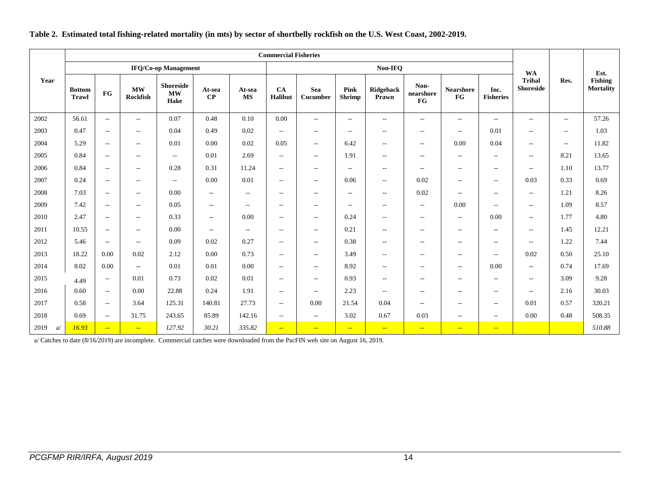<span id="page-13-0"></span>

|           |                               |                            |                          |                                           |                          |                          | <b>Commercial Fisheries</b> |                          |                       |                             |                          |                          |                          |                                   |                          |                             |
|-----------|-------------------------------|----------------------------|--------------------------|-------------------------------------------|--------------------------|--------------------------|-----------------------------|--------------------------|-----------------------|-----------------------------|--------------------------|--------------------------|--------------------------|-----------------------------------|--------------------------|-----------------------------|
|           |                               |                            |                          | <b>IFQ/Co-op Management</b>               |                          |                          |                             | Non-IFQ                  |                       |                             |                          |                          |                          | <b>WA</b>                         |                          | Est.                        |
| Year      | <b>Bottom</b><br><b>Trawl</b> | $\mathbf{F}\mathbf{G}$     | MW<br>Rockfish           | <b>Shoreside</b><br>$\mathbf{MW}$<br>Hake | At-sea<br>CP             | At-sea<br><b>MS</b>      | CA<br>Halibut               | <b>Sea</b><br>Cucumber   | Pink<br><b>Shrimp</b> | Ridgeback<br>Prawn          | Non-<br>nearshore<br>FG  | <b>Nearshore</b><br>FG   | Inc.<br><b>Fisheries</b> | <b>Tribal</b><br><b>Shoreside</b> | Res.                     | Fishing<br><b>Mortality</b> |
| 2002      | 56.61                         | $\sim$ $\sim$              | $- -$                    | 0.07                                      | 0.48                     | 0.10                     | 0.00                        | $\overline{\phantom{a}}$ | $\sim$ $-$            | $\sim$ $\sim$               | $- -$                    | $\sim$ $\sim$            | $\overline{\phantom{a}}$ | $\sim$                            | $\sim$ $\sim$            | 57.26                       |
| 2003      | 0.47                          | $\sim$ $\sim$              | $\qquad \qquad -$        | 0.04                                      | 0.49                     | 0.02                     | $\overline{\phantom{a}}$    | $\overline{\phantom{a}}$ | $\sim$                | $\sim$ $-$                  | $- -$                    | $\overline{\phantom{a}}$ | 0.01                     | $\sim$                            | $\sim$ $\sim$            | 1.03                        |
| 2004      | 5.29                          | $\sim$                     | $- -$                    | 0.01                                      | 0.00                     | 0.02                     | 0.05                        | $\hspace{0.05cm} \ldots$ | 6.42                  | $\sim$ $\sim$               | $\overline{\phantom{a}}$ | 0.00                     | 0.04                     | $\overline{\phantom{m}}$          | $\overline{\phantom{a}}$ | 11.82                       |
| 2005      | 0.84                          | $\sim$                     | $ -$                     | $\sim$ $\sim$                             | 0.01                     | 2.69                     | $\overline{\phantom{a}}$    | $\overline{\phantom{a}}$ | 1.91                  | $\sim$ $\sim$               | $- -$                    | $\sim$                   | $\overline{\phantom{a}}$ | $\hspace{0.05cm} \ldots$          | 8.21                     | 13.65                       |
| 2006      | 0.84                          | $\sim$ $\sim$              | $\overline{\phantom{a}}$ | 0.28                                      | 0.31                     | 11.24                    | $\overline{\phantom{a}}$    | $\overline{\phantom{a}}$ | $\sim$ $-$            | $\sim$ $\sim$               | $- -$                    | $\sim$                   | $- -$                    | $\sim$                            | 1.10                     | 13.77                       |
| 2007      | 0.24                          | $\sim$ $\sim$              | $\overline{\phantom{a}}$ | $\mathcal{L}_{\mathcal{L}}$               | 0.00                     | 0.01                     | $\overline{\phantom{a}}$    | $\overline{\phantom{a}}$ | 0.06                  | $\mathcal{L} = \mathcal{L}$ | 0.02                     | $\overline{\phantom{a}}$ | $\overline{\phantom{a}}$ | 0.03                              | 0.33                     | 0.69                        |
| 2008      | 7.03                          | $\sim$ $\sim$              | $\qquad \qquad -$        | 0.00                                      | $\sim$ $\sim$            | $\sim$                   | $-$                         | $\hspace{0.05cm} \ldots$ | $\sim$                | $\sim$ $\sim$               | 0.02                     | $\overline{\phantom{a}}$ | $\overline{\phantom{a}}$ | $\overline{\phantom{m}}$          | 1.21                     | 8.26                        |
| 2009      | 7.42                          | $\sim$ $\sim$              | $\overline{\phantom{a}}$ | 0.05                                      | $\overline{\phantom{m}}$ | $\overline{\phantom{a}}$ | $\overline{\phantom{m}}$    | $\overline{\phantom{a}}$ | $\sim$                | $\sim$ $-$                  | $\overline{\phantom{a}}$ | 0.00                     | $\overline{\phantom{a}}$ | $\overline{\phantom{m}}$          | 1.09                     | 8.57                        |
| 2010      | 2.47                          | $\sim$ $\sim$              | $\qquad \qquad -$        | 0.33                                      | $\sim$ $\sim$            | 0.00                     | $\sim$                      | $\overline{\phantom{a}}$ | 0.24                  | $\mathcal{L} = \mathcal{L}$ | $- -$                    | $\overline{\phantom{a}}$ | 0.00                     | $\overline{\phantom{m}}$          | 1.77                     | 4.80                        |
| 2011      | 10.55                         | $\overline{\phantom{m}}$   | $\hspace{0.05cm} \ldots$ | 0.00                                      | $\overline{\phantom{m}}$ | $\sim$ $\sim$            | $\overline{\phantom{m}}$    | $\overline{\phantom{a}}$ | 0.21                  | $\overline{\phantom{m}}$    | $--$                     | $\overline{\phantom{m}}$ | $\overline{\phantom{a}}$ | $\overline{\phantom{a}}$          | 1.45                     | 12.21                       |
| 2012      | 5.46                          | $\overline{\phantom{a}}$   | $\qquad \qquad -$        | 0.09                                      | 0.02                     | 0.27                     | $\overline{\phantom{a}}$    | $\overline{\phantom{a}}$ | 0.38                  | $\sim$ $\sim$               | $\sim$ $-$               | $\overline{\phantom{a}}$ | $- -$                    | $\overline{\phantom{a}}$          | 1.22                     | 7.44                        |
| 2013      | 18.22                         | 0.00                       | 0.02                     | 2.12                                      | 0.00                     | 0.73                     | $\overline{\phantom{a}}$    | $\overline{\phantom{a}}$ | 3.49                  | $\sim$ $\sim$               | $- -$                    | $\sim$                   | $- -$                    | 0.02                              | 0.50                     | 25.10                       |
| 2014      | 8.02                          | 0.00                       | $- -$                    | 0.01                                      | 0.01                     | 0.00                     | $\overline{\phantom{a}}$    | $\overline{\phantom{a}}$ | 8.92                  | $\mathcal{L} = \mathcal{L}$ | $- -$                    | $\overline{\phantom{a}}$ | 0.00                     | $\sim$ $\sim$                     | 0.74                     | 17.69                       |
| 2015      | 4.49                          | $\overline{\phantom{a}}$   | 0.01                     | 0.73                                      | 0.02                     | 0.01                     | $\overline{\phantom{a}}$    | $\overline{\phantom{a}}$ | 0.93                  | $\overline{\phantom{m}}$    | $\overline{\phantom{a}}$ | $\overline{\phantom{a}}$ | $\overline{\phantom{a}}$ | $\overline{\phantom{m}}$          | 3.09                     | 9.28                        |
| 2016      | 0.60                          | $\overline{\phantom{m}}$   | 0.00                     | 22.88                                     | 0.24                     | 1.91                     | $\overline{\phantom{a}}$    | $\overline{\phantom{a}}$ | 2.23                  | $\overline{\phantom{m}}$    | $- -$                    | $\overline{\phantom{m}}$ | $--$                     | $\overline{\phantom{a}}$          | 2.16                     | 30.03                       |
| 2017      | 0.58                          | $\sim$                     | 3.64                     | 125.31                                    | 140.81                   | 27.73                    | $\overline{\phantom{a}}$    | 0.00                     | 21.54                 | 0.04                        | $- -$                    | $\sim$                   | $- -$                    | 0.01                              | 0.57                     | 320.21                      |
| 2018      | 0.69                          | $\sim$ $\sim$              | 31.75                    | 243.65                                    | 85.89                    | 142.16                   | $\overline{\phantom{a}}$    | $\overline{\phantom{a}}$ | 3.02                  | 0.67                        | 0.03                     | $\overline{\phantom{a}}$ | $- -$                    | 0.00                              | 0.48                     | 508.35                      |
| 2019<br>a | 16.93                         | $\mathbb{Z}[\mathbb{Z}_p]$ | $\overline{a}$           | 127.92                                    | 30.21                    | 335.82                   | $\overline{a}$              | $\frac{1}{2}$            | $-$                   | $\mathbb{Z}[\mathbb{Z}_p]$  | $\rightarrow$            | $-$                      | $\sim$                   |                                   |                          | 510.88                      |

#### **Table 2. Estimated total fishing-related mortality (in mts) by sector of shortbelly rockfish on the U.S. West Coast, 2002-2019.**

a/ Catches to date (8/16/2019) are incomplete. Commercial catches were downloaded from the PacFIN web site on August 16, 2019.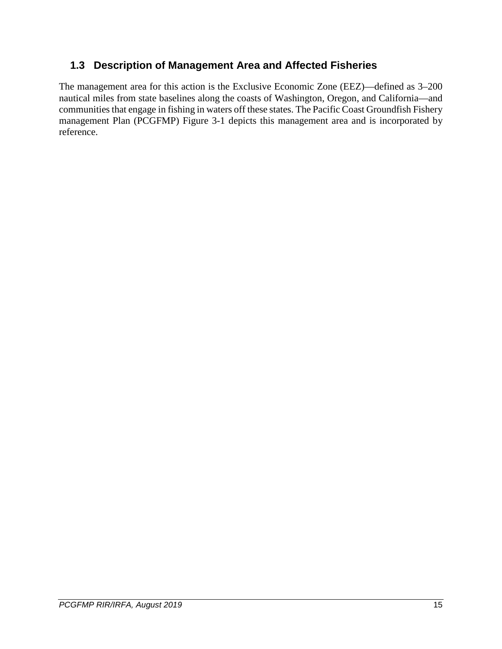### <span id="page-14-0"></span>**1.3 Description of Management Area and Affected Fisheries**

The management area for this action is the Exclusive Economic Zone (EEZ)—defined as 3–200 nautical miles from state baselines along the coasts of Washington, Oregon, and California—and communities that engage in fishing in waters off these states. The Pacific Coast Groundfish Fishery management Plan (PCGFMP) Figure 3-1 depicts this management area and is incorporated by reference.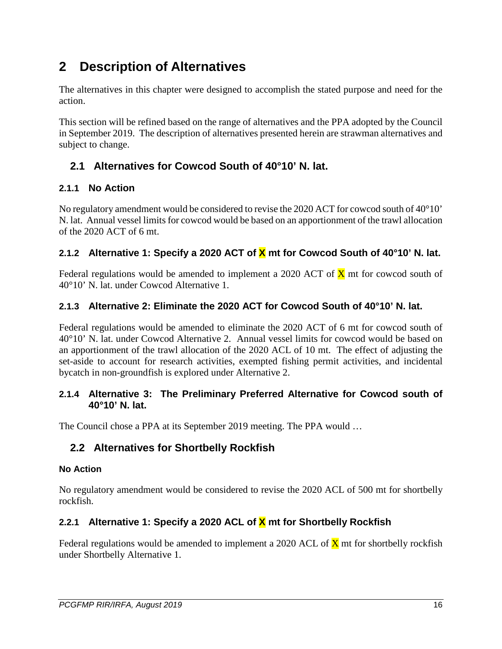# <span id="page-15-0"></span>**2 Description of Alternatives**

The alternatives in this chapter were designed to accomplish the stated purpose and need for the action.

This section will be refined based on the range of alternatives and the PPA adopted by the Council in September 2019. The description of alternatives presented herein are strawman alternatives and subject to change.

### <span id="page-15-1"></span>**2.1 Alternatives for Cowcod South of 40°10' N. lat.**

### <span id="page-15-2"></span>**2.1.1 No Action**

No regulatory amendment would be considered to revise the 2020 ACT for cowcod south of 40°10' N. lat. Annual vessel limits for cowcod would be based on an apportionment of the trawl allocation of the 2020 ACT of 6 mt.

### <span id="page-15-3"></span>**2.1.2 Alternative 1: Specify a 2020 ACT of X mt for Cowcod South of 40°10' N. lat.**

Federal regulations would be amended to implement a 2020 ACT of  $\bar{X}$  mt for cowcod south of 40°10' N. lat. under Cowcod Alternative 1.

### <span id="page-15-4"></span>**2.1.3 Alternative 2: Eliminate the 2020 ACT for Cowcod South of 40°10' N. lat.**

Federal regulations would be amended to eliminate the 2020 ACT of 6 mt for cowcod south of 40°10' N. lat. under Cowcod Alternative 2. Annual vessel limits for cowcod would be based on an apportionment of the trawl allocation of the 2020 ACL of 10 mt. The effect of adjusting the set-aside to account for research activities, exempted fishing permit activities, and incidental bycatch in non-groundfish is explored under Alternative 2.

#### <span id="page-15-5"></span>**2.1.4 Alternative 3: The Preliminary Preferred Alternative for Cowcod south of 40°10' N. lat.**

The Council chose a PPA at its September 2019 meeting. The PPA would …

### <span id="page-15-6"></span>**2.2 Alternatives for Shortbelly Rockfish**

#### <span id="page-15-7"></span>**No Action**

No regulatory amendment would be considered to revise the 2020 ACL of 500 mt for shortbelly rockfish.

### <span id="page-15-8"></span>**2.2.1 Alternative 1: Specify a 2020 ACL of X mt for Shortbelly Rockfish**

Federal regulations would be amended to implement a 2020 ACL of  $\bar{X}$  mt for shortbelly rockfish under Shortbelly Alternative 1.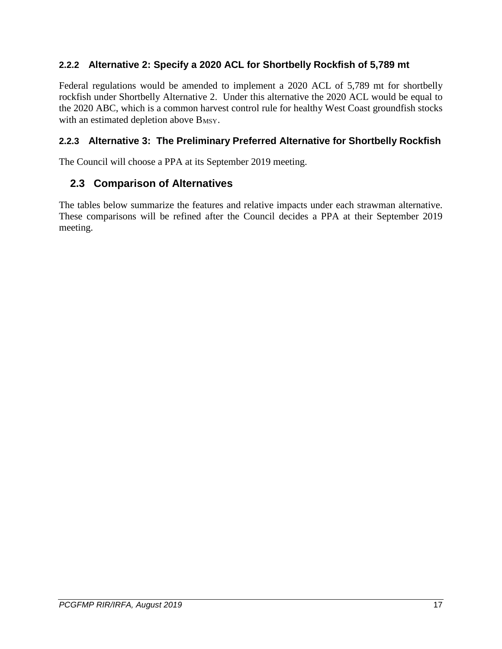### <span id="page-16-0"></span>**2.2.2 Alternative 2: Specify a 2020 ACL for Shortbelly Rockfish of 5,789 mt**

Federal regulations would be amended to implement a 2020 ACL of 5,789 mt for shortbelly rockfish under Shortbelly Alternative 2. Under this alternative the 2020 ACL would be equal to the 2020 ABC, which is a common harvest control rule for healthy West Coast groundfish stocks with an estimated depletion above  $B_{MSY}$ .

### <span id="page-16-1"></span>**2.2.3 Alternative 3: The Preliminary Preferred Alternative for Shortbelly Rockfish**

The Council will choose a PPA at its September 2019 meeting.

### <span id="page-16-2"></span>**2.3 Comparison of Alternatives**

The tables below summarize the features and relative impacts under each strawman alternative. These comparisons will be refined after the Council decides a PPA at their September 2019 meeting.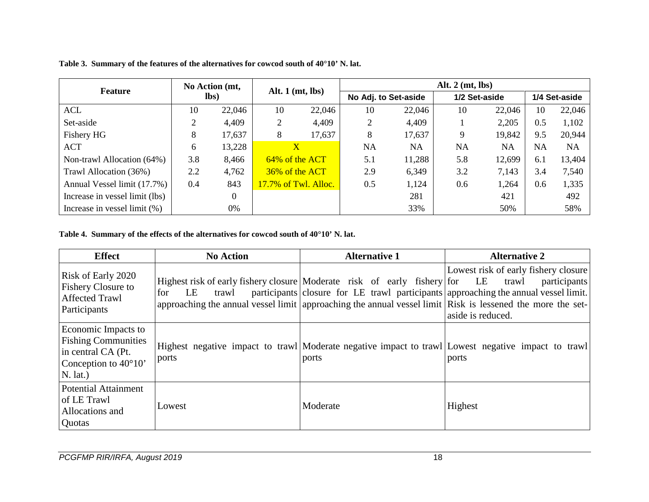| <b>Feature</b>                   | No Action (mt,<br>lbs) |                | Alt. $1 \, (mt, \, lbs)$ |                      | Alt. $2 \text{ (mt, lbs)}$ |        |               |        |               |           |  |
|----------------------------------|------------------------|----------------|--------------------------|----------------------|----------------------------|--------|---------------|--------|---------------|-----------|--|
|                                  |                        |                |                          |                      | No Adj. to Set-aside       |        | 1/2 Set-aside |        | 1/4 Set-aside |           |  |
| ACL                              | 10                     | 22,046         | 10                       | 22,046               | 10                         | 22,046 | 10            | 22,046 | 10            | 22,046    |  |
| Set-aside                        |                        | 4,409          | 2                        | 4,409                | 2                          | 4,409  |               | 2,205  | 0.5           | 1,102     |  |
| Fishery HG                       | 8                      | 17,637         | 8                        | 17,637               | 8                          | 17,637 | 9             | 19,842 | 9.5           | 20,944    |  |
| <b>ACT</b>                       | 6                      | 13,228         | $\mathbf{X}$             |                      | NA                         | NA     | <b>NA</b>     | NA     | <b>NA</b>     | <b>NA</b> |  |
| Non-trawl Allocation (64%)       | 3.8                    | 8,466          | 64% of the ACT           |                      | 5.1                        | 11,288 | 5.8           | 12,699 | 6.1           | 13,404    |  |
| Trawl Allocation (36%)           | 2.2                    | 4,762          | 36% of the ACT           |                      | 2.9                        | 6,349  | 3.2           | 7,143  | 3.4           | 7,540     |  |
| Annual Vessel limit (17.7%)      | 0.4                    | 843            |                          | 17.7% of Twl. Alloc. | 0.5                        | 1,124  | 0.6           | 1,264  | 0.6           | 1,335     |  |
| Increase in vessel limit (lbs)   |                        | $\overline{0}$ |                          |                      |                            | 281    |               | 421    |               | 492       |  |
| Increase in vessel limit $(\% )$ |                        | 0%             |                          |                      |                            | 33%    |               | 50%    |               | 58%       |  |

**Table 3. Summary of the features of the alternatives for cowcod south of 40°10' N. lat.** 

#### <span id="page-17-0"></span>**Table 4. Summary of the effects of the alternatives for cowcod south of 40°10' N. lat.**

<span id="page-17-1"></span>

| <b>Effect</b>                                                                                                          | <b>No Action</b>   | <b>Alternative 1</b>                                                        | <b>Alternative 2</b>                                                                                                                                                                                                                                                                    |
|------------------------------------------------------------------------------------------------------------------------|--------------------|-----------------------------------------------------------------------------|-----------------------------------------------------------------------------------------------------------------------------------------------------------------------------------------------------------------------------------------------------------------------------------------|
| Risk of Early 2020<br><b>Fishery Closure to</b><br><b>Affected Trawl</b><br>Participants                               | trawl<br>for<br>LE | Highest risk of early fishery closure Moderate risk of early fishery for LE | Lowest risk of early fishery closure<br>trawl<br>participants<br>participants closure for LE trawl participants approaching the annual vessel limit.<br>approaching the annual vessel limit approaching the annual vessel limit Risk is lessened the more the set-<br>aside is reduced. |
| Economic Impacts to<br><b>Fishing Communities</b><br>in central CA (Pt.<br>Conception to $40^{\circ}10'$<br>$N.$ lat.) | ports              | ports                                                                       | Highest negative impact to trawl Moderate negative impact to trawl Lowest negative impact to trawl<br>ports                                                                                                                                                                             |
| <b>Potential Attainment</b><br>of LE Trawl<br>Allocations and<br>Quotas                                                | Lowest             | Moderate                                                                    | Highest                                                                                                                                                                                                                                                                                 |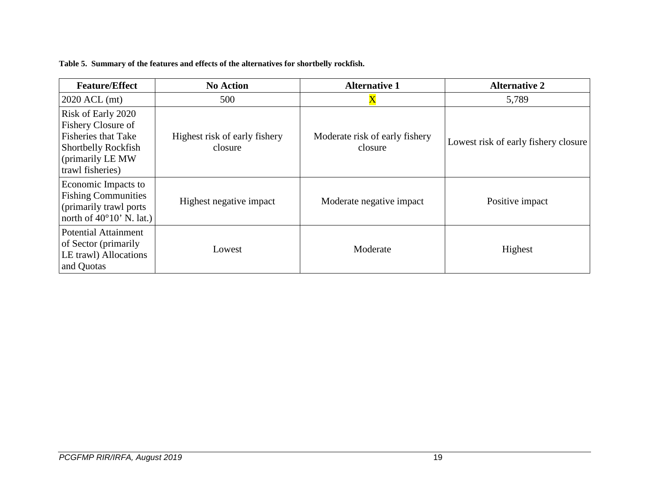**Table 5. Summary of the features and effects of the alternatives for shortbelly rockfish.** 

<span id="page-18-0"></span>

| <b>Feature/Effect</b>                                                                                                                                | <b>No Action</b>                         | <b>Alternative 1</b>                      | <b>Alternative 2</b>                 |  |  |
|------------------------------------------------------------------------------------------------------------------------------------------------------|------------------------------------------|-------------------------------------------|--------------------------------------|--|--|
| $2020$ ACL (mt)                                                                                                                                      | 500                                      | $\rm X$                                   | 5,789                                |  |  |
| <b>Risk of Early 2020</b><br>Fishery Closure of<br><b>Fisheries that Take</b><br><b>Shortbelly Rockfish</b><br>(primarily LE MW)<br>trawl fisheries) | Highest risk of early fishery<br>closure | Moderate risk of early fishery<br>closure | Lowest risk of early fishery closure |  |  |
| Economic Impacts to<br><b>Fishing Communities</b><br>(primarily trawl ports)<br>north of $40^{\circ}10'$ N. lat.)                                    | Highest negative impact                  | Moderate negative impact                  | Positive impact                      |  |  |
| Potential Attainment<br>of Sector (primarily<br>LE trawl) Allocations<br>and Quotas                                                                  | Lowest                                   | Moderate                                  | Highest                              |  |  |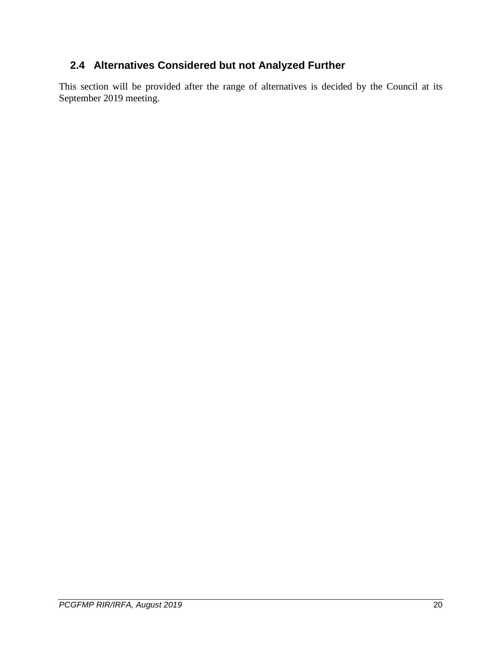## <span id="page-19-0"></span>**2.4 Alternatives Considered but not Analyzed Further**

This section will be provided after the range of alternatives is decided by the Council at its September 2019 meeting.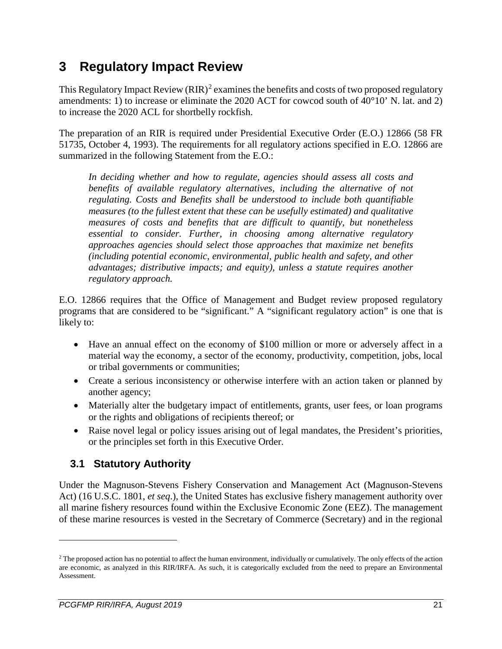# <span id="page-20-0"></span>**3 Regulatory Impact Review**

This Regulatory Impact Review  $(RIR)^2$  $(RIR)^2$  examines the benefits and costs of two proposed regulatory amendments: 1) to increase or eliminate the 2020 ACT for cowcod south of 40°10' N. lat. and 2) to increase the 2020 ACL for shortbelly rockfish.

The preparation of an RIR is required under Presidential Executive Order (E.O.) 12866 (58 FR 51735, October 4, 1993). The requirements for all regulatory actions specified in E.O. 12866 are summarized in the following Statement from the E.O.:

*In deciding whether and how to regulate, agencies should assess all costs and benefits of available regulatory alternatives, including the alternative of not regulating. Costs and Benefits shall be understood to include both quantifiable measures (to the fullest extent that these can be usefully estimated) and qualitative measures of costs and benefits that are difficult to quantify, but nonetheless essential to consider. Further, in choosing among alternative regulatory approaches agencies should select those approaches that maximize net benefits (including potential economic, environmental, public health and safety, and other advantages; distributive impacts; and equity), unless a statute requires another regulatory approach.*

E.O. 12866 requires that the Office of Management and Budget review proposed regulatory programs that are considered to be "significant." A "significant regulatory action" is one that is likely to:

- Have an annual effect on the economy of \$100 million or more or adversely affect in a material way the economy, a sector of the economy, productivity, competition, jobs, local or tribal governments or communities;
- Create a serious inconsistency or otherwise interfere with an action taken or planned by another agency;
- Materially alter the budgetary impact of entitlements, grants, user fees, or loan programs or the rights and obligations of recipients thereof; or
- Raise novel legal or policy issues arising out of legal mandates, the President's priorities, or the principles set forth in this Executive Order.

## <span id="page-20-1"></span>**3.1 Statutory Authority**

Under the Magnuson-Stevens Fishery Conservation and Management Act (Magnuson-Stevens Act) (16 U.S.C. 1801, *et seq*.), the United States has exclusive fishery management authority over all marine fishery resources found within the Exclusive Economic Zone (EEZ). The management of these marine resources is vested in the Secretary of Commerce (Secretary) and in the regional

 $\overline{a}$ 

<span id="page-20-2"></span> $2$  The proposed action has no potential to affect the human environment, individually or cumulatively. The only effects of the action are economic, as analyzed in this RIR/IRFA. As such, it is categorically excluded from the need to prepare an Environmental Assessment.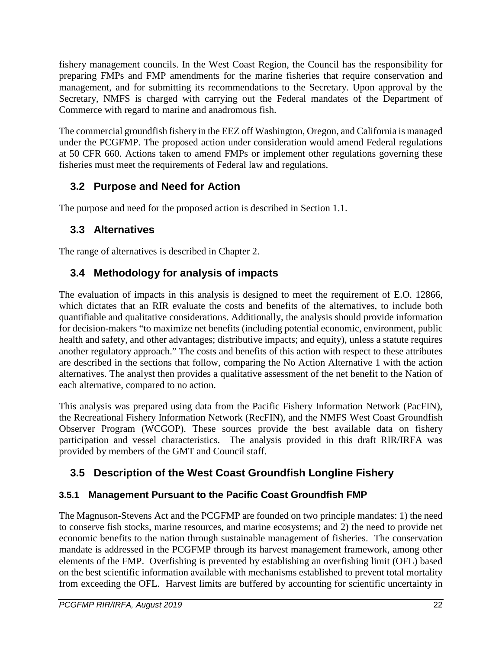fishery management councils. In the West Coast Region, the Council has the responsibility for preparing FMPs and FMP amendments for the marine fisheries that require conservation and management, and for submitting its recommendations to the Secretary. Upon approval by the Secretary, NMFS is charged with carrying out the Federal mandates of the Department of Commerce with regard to marine and anadromous fish.

The commercial groundfish fishery in the EEZ off Washington, Oregon, and California is managed under the PCGFMP. The proposed action under consideration would amend Federal regulations at 50 CFR 660. Actions taken to amend FMPs or implement other regulations governing these fisheries must meet the requirements of Federal law and regulations.

### <span id="page-21-0"></span>**3.2 Purpose and Need for Action**

The purpose and need for the proposed action is described in Section [1.1.](#page-9-0)

### <span id="page-21-1"></span>**3.3 Alternatives**

The range of alternatives is described in Chapter 2.

## <span id="page-21-2"></span>**3.4 Methodology for analysis of impacts**

The evaluation of impacts in this analysis is designed to meet the requirement of E.O. 12866, which dictates that an RIR evaluate the costs and benefits of the alternatives, to include both quantifiable and qualitative considerations. Additionally, the analysis should provide information for decision-makers "to maximize net benefits (including potential economic, environment, public health and safety, and other advantages; distributive impacts; and equity), unless a statute requires another regulatory approach." The costs and benefits of this action with respect to these attributes are described in the sections that follow, comparing the No Action Alternative 1 with the action alternatives. The analyst then provides a qualitative assessment of the net benefit to the Nation of each alternative, compared to no action.

This analysis was prepared using data from the Pacific Fishery Information Network (PacFIN), the Recreational Fishery Information Network (RecFIN), and the NMFS West Coast Groundfish Observer Program (WCGOP). These sources provide the best available data on fishery participation and vessel characteristics. The analysis provided in this draft RIR/IRFA was provided by members of the GMT and Council staff.

## <span id="page-21-3"></span>**3.5 Description of the West Coast Groundfish Longline Fishery**

### <span id="page-21-4"></span>**3.5.1 Management Pursuant to the Pacific Coast Groundfish FMP**

The Magnuson-Stevens Act and the PCGFMP are founded on two principle mandates: 1) the need to conserve fish stocks, marine resources, and marine ecosystems; and 2) the need to provide net economic benefits to the nation through sustainable management of fisheries. The conservation mandate is addressed in the PCGFMP through its harvest management framework, among other elements of the FMP. Overfishing is prevented by establishing an overfishing limit (OFL) based on the best scientific information available with mechanisms established to prevent total mortality from exceeding the OFL. Harvest limits are buffered by accounting for scientific uncertainty in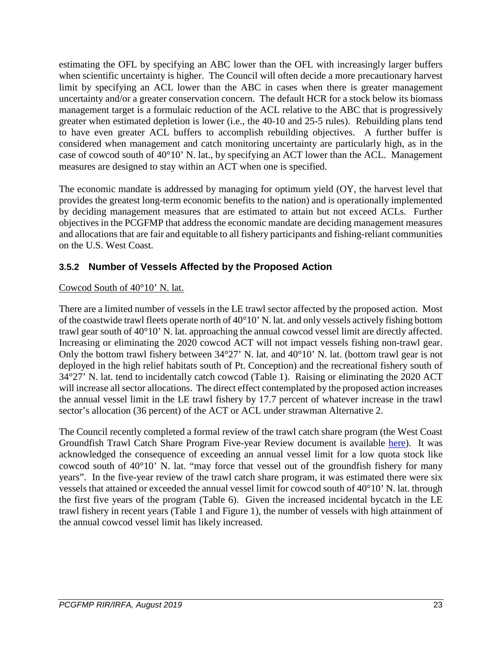estimating the OFL by specifying an ABC lower than the OFL with increasingly larger buffers when scientific uncertainty is higher. The Council will often decide a more precautionary harvest limit by specifying an ACL lower than the ABC in cases when there is greater management uncertainty and/or a greater conservation concern. The default HCR for a stock below its biomass management target is a formulaic reduction of the ACL relative to the ABC that is progressively greater when estimated depletion is lower (i.e., the 40-10 and 25-5 rules). Rebuilding plans tend to have even greater ACL buffers to accomplish rebuilding objectives. A further buffer is considered when management and catch monitoring uncertainty are particularly high, as in the case of cowcod south of 40°10' N. lat., by specifying an ACT lower than the ACL. Management measures are designed to stay within an ACT when one is specified.

The economic mandate is addressed by managing for optimum yield (OY, the harvest level that provides the greatest long-term economic benefits to the nation) and is operationally implemented by deciding management measures that are estimated to attain but not exceed ACLs. Further objectives in the PCGFMP that address the economic mandate are deciding management measures and allocations that are fair and equitable to all fishery participants and fishing-reliant communities on the U.S. West Coast.

### <span id="page-22-0"></span>**3.5.2 Number of Vessels Affected by the Proposed Action**

### Cowcod South of 40°10' N. lat.

There are a limited number of vessels in the LE trawl sector affected by the proposed action. Most of the coastwide trawl fleets operate north of 40°10' N. lat. and only vessels actively fishing bottom trawl gear south of 40°10' N. lat. approaching the annual cowcod vessel limit are directly affected. Increasing or eliminating the 2020 cowcod ACT will not impact vessels fishing non-trawl gear. Only the bottom trawl fishery between 34°27' N. lat. and 40°10' N. lat. (bottom trawl gear is not deployed in the high relief habitats south of Pt. Conception) and the recreational fishery south of 34°27' N. lat. tend to incidentally catch cowcod [\(Table 1\)](#page-12-0). Raising or eliminating the 2020 ACT will increase all sector allocations. The direct effect contemplated by the proposed action increases the annual vessel limit in the LE trawl fishery by 17.7 percent of whatever increase in the trawl sector's allocation (36 percent) of the ACT or ACL under strawman Alternative 2.

The Council recently completed a formal review of the trawl catch share program (the West Coast Groundfish Trawl Catch Share Program Five-year Review document is available [here\)](https://www.pcouncil.org/wp-content/uploads/2018/12/Trawl_CSR_2017_MainDoc_Final.pdf). It was acknowledged the consequence of exceeding an annual vessel limit for a low quota stock like cowcod south of 40°10' N. lat. "may force that vessel out of the groundfish fishery for many years". In the five-year review of the trawl catch share program, it was estimated there were six vessels that attained or exceeded the annual vessel limit for cowcod south of 40°10' N. lat. through the first five years of the program [\(Table 6\)](#page-23-2). Given the increased incidental bycatch in the LE trawl fishery in recent years [\(Table 1](#page-12-0) and [Figure 1\)](#page-10-0), the number of vessels with high attainment of the annual cowcod vessel limit has likely increased.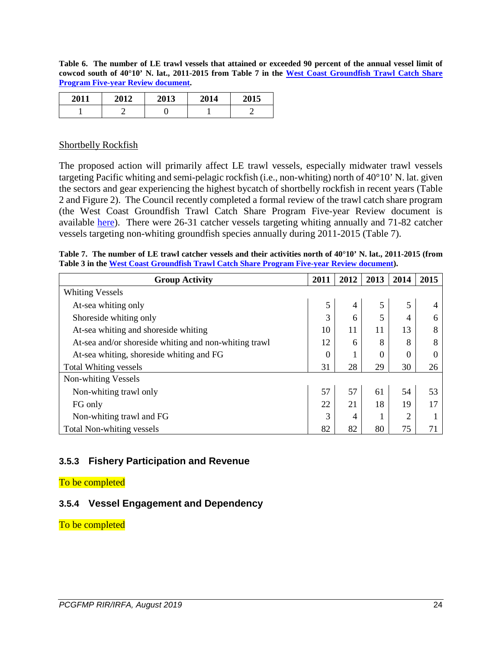<span id="page-23-2"></span>**Table 6. The number of LE trawl vessels that attained or exceeded 90 percent of the annual vessel limit of cowcod south of 40°10' N. lat., 2011-2015 from Table 7 in the [West Coast Groundfish Trawl Catch Share](https://www.pcouncil.org/wp-content/uploads/2018/12/Trawl_CSR_2017_MainDoc_Final.pdf)  [Program Five-year Review document.](https://www.pcouncil.org/wp-content/uploads/2018/12/Trawl_CSR_2017_MainDoc_Final.pdf)**

| 2011 | 2012 | <b>2013</b> | 2014 | ኅበ1 5 |
|------|------|-------------|------|-------|
|      |      |             |      |       |

#### Shortbelly Rockfish

The proposed action will primarily affect LE trawl vessels, especially midwater trawl vessels targeting Pacific whiting and semi-pelagic rockfish (i.e., non-whiting) north of 40°10' N. lat. given the sectors and gear experiencing the highest bycatch of shortbelly rockfish in recent years [\(Table](#page-13-0)  [2](#page-13-0) and [Figure 2\)](#page-11-0). The Council recently completed a formal review of the trawl catch share program (the West Coast Groundfish Trawl Catch Share Program Five-year Review document is available [here\)](https://www.pcouncil.org/wp-content/uploads/2018/12/Trawl_CSR_2017_MainDoc_Final.pdf). There were 26-31 catcher vessels targeting whiting annually and 71-82 catcher vessels targeting non-whiting groundfish species annually during 2011-2015 [\(Table 7\)](#page-23-3).

<span id="page-23-3"></span>

|  |                                                                                            |  | Table 7. The number of LE trawl catcher vessels and their activities north of $40^{\circ}10'$ N. lat., 2011-2015 (from |  |
|--|--------------------------------------------------------------------------------------------|--|------------------------------------------------------------------------------------------------------------------------|--|
|  | Table 3 in the West Coast Groundfish Trawl Catch Share Program Five-vear Review document). |  |                                                                                                                        |  |

| <b>Group Activity</b>                                 | 2011     | 2012 | 2013     | 2014           | 2015 |
|-------------------------------------------------------|----------|------|----------|----------------|------|
| <b>Whiting Vessels</b>                                |          |      |          |                |      |
| At-sea whiting only                                   | 5        | 4    | 5        | 5              |      |
| Shoreside whiting only                                | 3        | 6    | 5        | 4              | 6    |
| At-sea whiting and shoreside whiting                  | 10       | 11   | 11       | 13             | 8    |
| At-sea and/or shoreside whiting and non-whiting trawl | 12       | 6    | 8        | 8              | 8    |
| At-sea whiting, shoreside whiting and FG              | $\Omega$ |      | $\Omega$ | $\theta$       |      |
| <b>Total Whiting vessels</b>                          | 31       | 28   | 29       | 30             | 26   |
| Non-whiting Vessels                                   |          |      |          |                |      |
| Non-whiting trawl only                                | 57       | 57   | 61       | 54             | 53   |
| FG only                                               | 22       | 21   | 18       | 19             | 17   |
| Non-whiting trawl and FG                              | 3        | 4    |          | $\overline{2}$ |      |
| Total Non-whiting vessels                             | 82       | 82   | 80       | 75             | 71   |

#### <span id="page-23-0"></span>**3.5.3 Fishery Participation and Revenue**

#### To be completed

#### <span id="page-23-1"></span>**3.5.4 Vessel Engagement and Dependency**

To be completed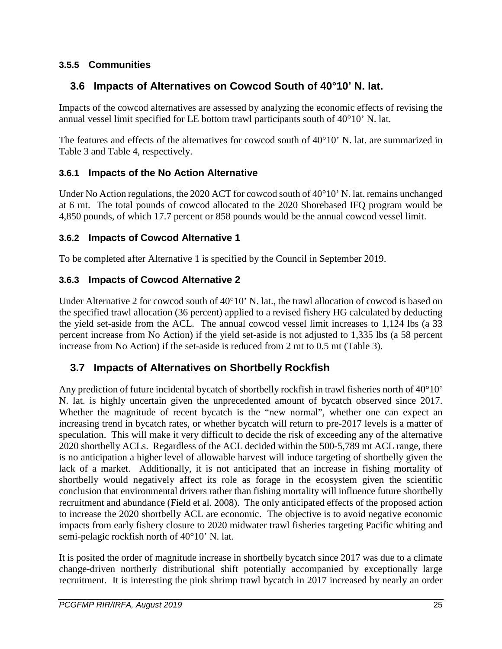### <span id="page-24-0"></span>**3.5.5 Communities**

### <span id="page-24-1"></span>**3.6 Impacts of Alternatives on Cowcod South of 40°10' N. lat.**

Impacts of the cowcod alternatives are assessed by analyzing the economic effects of revising the annual vessel limit specified for LE bottom trawl participants south of 40°10' N. lat.

The features and effects of the alternatives for cowcod south of  $40^{\circ}10'$  N. lat. are summarized in [Table 3](#page-17-0) and [Table 4,](#page-17-1) respectively.

#### <span id="page-24-2"></span>**3.6.1 Impacts of the No Action Alternative**

Under No Action regulations, the 2020 ACT for cowcod south of  $40^{\circ}10'$  N. lat. remains unchanged at 6 mt. The total pounds of cowcod allocated to the 2020 Shorebased IFQ program would be 4,850 pounds, of which 17.7 percent or 858 pounds would be the annual cowcod vessel limit.

#### <span id="page-24-3"></span>**3.6.2 Impacts of Cowcod Alternative 1**

To be completed after Alternative 1 is specified by the Council in September 2019.

#### <span id="page-24-4"></span>**3.6.3 Impacts of Cowcod Alternative 2**

Under Alternative 2 for cowcod south of 40°10' N. lat., the trawl allocation of cowcod is based on the specified trawl allocation (36 percent) applied to a revised fishery HG calculated by deducting the yield set-aside from the ACL. The annual cowcod vessel limit increases to 1,124 lbs (a 33 percent increase from No Action) if the yield set-aside is not adjusted to 1,335 lbs (a 58 percent increase from No Action) if the set-aside is reduced from 2 mt to 0.5 mt [\(Table 3\)](#page-17-0).

### <span id="page-24-5"></span>**3.7 Impacts of Alternatives on Shortbelly Rockfish**

Any prediction of future incidental bycatch of shortbelly rockfish in trawl fisheries north of 40°10' N. lat. is highly uncertain given the unprecedented amount of bycatch observed since 2017. Whether the magnitude of recent bycatch is the "new normal", whether one can expect an increasing trend in bycatch rates, or whether bycatch will return to pre-2017 levels is a matter of speculation. This will make it very difficult to decide the risk of exceeding any of the alternative 2020 shortbelly ACLs. Regardless of the ACL decided within the 500-5,789 mt ACL range, there is no anticipation a higher level of allowable harvest will induce targeting of shortbelly given the lack of a market. Additionally, it is not anticipated that an increase in fishing mortality of shortbelly would negatively affect its role as forage in the ecosystem given the scientific conclusion that environmental drivers rather than fishing mortality will influence future shortbelly recruitment and abundance (Field et al. 2008). The only anticipated effects of the proposed action to increase the 2020 shortbelly ACL are economic. The objective is to avoid negative economic impacts from early fishery closure to 2020 midwater trawl fisheries targeting Pacific whiting and semi-pelagic rockfish north of 40°10' N. lat.

It is posited the order of magnitude increase in shortbelly bycatch since 2017 was due to a climate change-driven northerly distributional shift potentially accompanied by exceptionally large recruitment. It is interesting the pink shrimp trawl bycatch in 2017 increased by nearly an order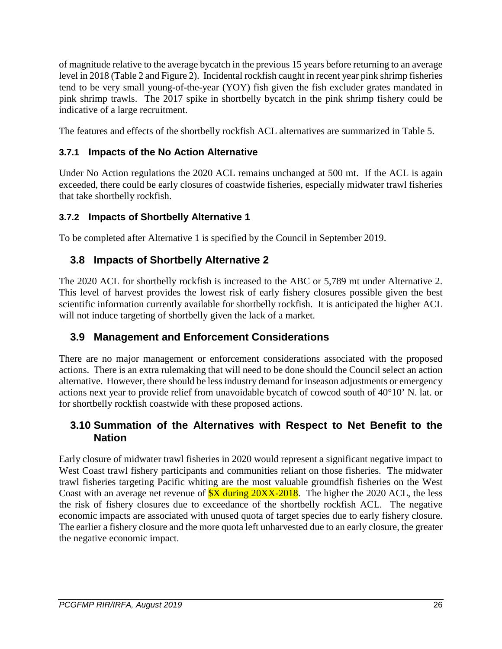of magnitude relative to the average bycatch in the previous 15 years before returning to an average level in 2018 [\(Table 2](#page-13-0) and [Figure 2\)](#page-11-0). Incidental rockfish caught in recent year pink shrimp fisheries tend to be very small young-of-the-year (YOY) fish given the fish excluder grates mandated in pink shrimp trawls. The 2017 spike in shortbelly bycatch in the pink shrimp fishery could be indicative of a large recruitment.

The features and effects of the shortbelly rockfish ACL alternatives are summarized in [Table 5.](#page-18-0)

### <span id="page-25-0"></span>**3.7.1 Impacts of the No Action Alternative**

Under No Action regulations the 2020 ACL remains unchanged at 500 mt. If the ACL is again exceeded, there could be early closures of coastwide fisheries, especially midwater trawl fisheries that take shortbelly rockfish.

### <span id="page-25-1"></span>**3.7.2 Impacts of Shortbelly Alternative 1**

To be completed after Alternative 1 is specified by the Council in September 2019.

### <span id="page-25-2"></span>**3.8 Impacts of Shortbelly Alternative 2**

The 2020 ACL for shortbelly rockfish is increased to the ABC or 5,789 mt under Alternative 2. This level of harvest provides the lowest risk of early fishery closures possible given the best scientific information currently available for shortbelly rockfish. It is anticipated the higher ACL will not induce targeting of shortbelly given the lack of a market.

### <span id="page-25-3"></span>**3.9 Management and Enforcement Considerations**

There are no major management or enforcement considerations associated with the proposed actions. There is an extra rulemaking that will need to be done should the Council select an action alternative. However, there should be less industry demand for inseason adjustments or emergency actions next year to provide relief from unavoidable bycatch of cowcod south of 40°10' N. lat. or for shortbelly rockfish coastwide with these proposed actions.

### <span id="page-25-4"></span>**3.10 Summation of the Alternatives with Respect to Net Benefit to the Nation**

Early closure of midwater trawl fisheries in 2020 would represent a significant negative impact to West Coast trawl fishery participants and communities reliant on those fisheries. The midwater trawl fisheries targeting Pacific whiting are the most valuable groundfish fisheries on the West Coast with an average net revenue of  $\overline{SX}$  during 20XX-2018. The higher the 2020 ACL, the less the risk of fishery closures due to exceedance of the shortbelly rockfish ACL. The negative economic impacts are associated with unused quota of target species due to early fishery closure. The earlier a fishery closure and the more quota left unharvested due to an early closure, the greater the negative economic impact.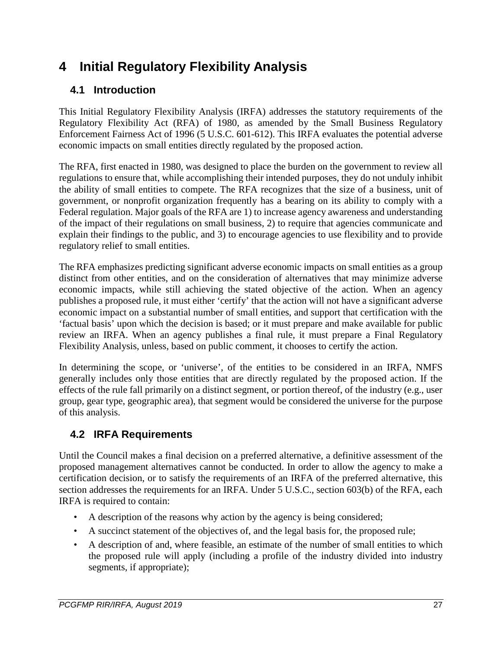# <span id="page-26-0"></span>**4 Initial Regulatory Flexibility Analysis**

### <span id="page-26-1"></span>**4.1 Introduction**

This Initial Regulatory Flexibility Analysis (IRFA) addresses the statutory requirements of the Regulatory Flexibility Act (RFA) of 1980, as amended by the Small Business Regulatory Enforcement Fairness Act of 1996 (5 U.S.C. 601-612). This IRFA evaluates the potential adverse economic impacts on small entities directly regulated by the proposed action.

The RFA, first enacted in 1980, was designed to place the burden on the government to review all regulations to ensure that, while accomplishing their intended purposes, they do not unduly inhibit the ability of small entities to compete. The RFA recognizes that the size of a business, unit of government, or nonprofit organization frequently has a bearing on its ability to comply with a Federal regulation. Major goals of the RFA are 1) to increase agency awareness and understanding of the impact of their regulations on small business, 2) to require that agencies communicate and explain their findings to the public, and 3) to encourage agencies to use flexibility and to provide regulatory relief to small entities.

The RFA emphasizes predicting significant adverse economic impacts on small entities as a group distinct from other entities, and on the consideration of alternatives that may minimize adverse economic impacts, while still achieving the stated objective of the action. When an agency publishes a proposed rule, it must either 'certify' that the action will not have a significant adverse economic impact on a substantial number of small entities, and support that certification with the 'factual basis' upon which the decision is based; or it must prepare and make available for public review an IRFA. When an agency publishes a final rule, it must prepare a Final Regulatory Flexibility Analysis, unless, based on public comment, it chooses to certify the action.

In determining the scope, or 'universe', of the entities to be considered in an IRFA, NMFS generally includes only those entities that are directly regulated by the proposed action. If the effects of the rule fall primarily on a distinct segment, or portion thereof, of the industry (e.g., user group, gear type, geographic area), that segment would be considered the universe for the purpose of this analysis.

### <span id="page-26-2"></span>**4.2 IRFA Requirements**

Until the Council makes a final decision on a preferred alternative, a definitive assessment of the proposed management alternatives cannot be conducted. In order to allow the agency to make a certification decision, or to satisfy the requirements of an IRFA of the preferred alternative, this section addresses the requirements for an IRFA. Under 5 U.S.C., section 603(b) of the RFA, each IRFA is required to contain:

- A description of the reasons why action by the agency is being considered;
- A succinct statement of the objectives of, and the legal basis for, the proposed rule;
- A description of and, where feasible, an estimate of the number of small entities to which the proposed rule will apply (including a profile of the industry divided into industry segments, if appropriate);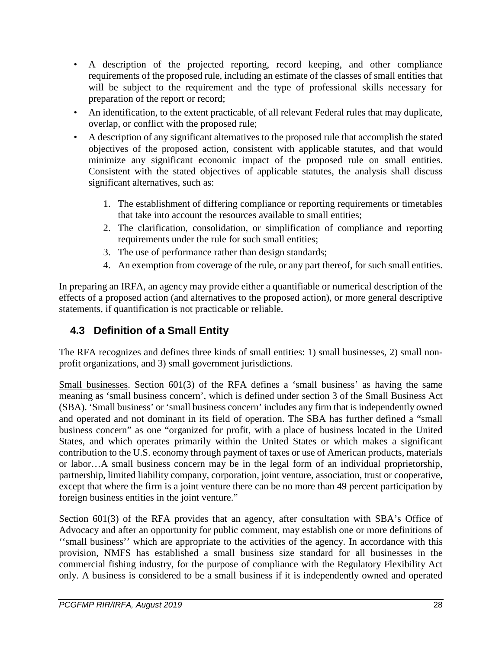- A description of the projected reporting, record keeping, and other compliance requirements of the proposed rule, including an estimate of the classes of small entities that will be subject to the requirement and the type of professional skills necessary for preparation of the report or record;
- An identification, to the extent practicable, of all relevant Federal rules that may duplicate, overlap, or conflict with the proposed rule;
- A description of any significant alternatives to the proposed rule that accomplish the stated objectives of the proposed action, consistent with applicable statutes, and that would minimize any significant economic impact of the proposed rule on small entities. Consistent with the stated objectives of applicable statutes, the analysis shall discuss significant alternatives, such as:
	- 1. The establishment of differing compliance or reporting requirements or timetables that take into account the resources available to small entities;
	- 2. The clarification, consolidation, or simplification of compliance and reporting requirements under the rule for such small entities;
	- 3. The use of performance rather than design standards;
	- 4. An exemption from coverage of the rule, or any part thereof, for such small entities.

In preparing an IRFA, an agency may provide either a quantifiable or numerical description of the effects of a proposed action (and alternatives to the proposed action), or more general descriptive statements, if quantification is not practicable or reliable.

### <span id="page-27-0"></span>**4.3 Definition of a Small Entity**

The RFA recognizes and defines three kinds of small entities: 1) small businesses, 2) small nonprofit organizations, and 3) small government jurisdictions.

Small businesses. Section 601(3) of the RFA defines a 'small business' as having the same meaning as 'small business concern', which is defined under section 3 of the Small Business Act (SBA). 'Small business' or 'small business concern' includes any firm that is independently owned and operated and not dominant in its field of operation. The SBA has further defined a "small business concern" as one "organized for profit, with a place of business located in the United States, and which operates primarily within the United States or which makes a significant contribution to the U.S. economy through payment of taxes or use of American products, materials or labor…A small business concern may be in the legal form of an individual proprietorship, partnership, limited liability company, corporation, joint venture, association, trust or cooperative, except that where the firm is a joint venture there can be no more than 49 percent participation by foreign business entities in the joint venture."

Section 601(3) of the RFA provides that an agency, after consultation with SBA's Office of Advocacy and after an opportunity for public comment, may establish one or more definitions of ''small business'' which are appropriate to the activities of the agency. In accordance with this provision, NMFS has established a small business size standard for all businesses in the commercial fishing industry, for the purpose of compliance with the Regulatory Flexibility Act only. A business is considered to be a small business if it is independently owned and operated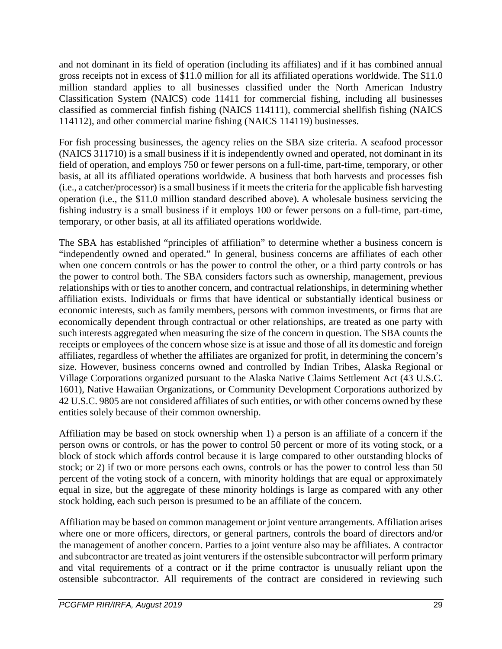and not dominant in its field of operation (including its affiliates) and if it has combined annual gross receipts not in excess of \$11.0 million for all its affiliated operations worldwide. The \$11.0 million standard applies to all businesses classified under the North American Industry Classification System (NAICS) code 11411 for commercial fishing, including all businesses classified as commercial finfish fishing (NAICS 114111), commercial shellfish fishing (NAICS 114112), and other commercial marine fishing (NAICS 114119) businesses.

For fish processing businesses, the agency relies on the SBA size criteria. A seafood processor (NAICS 311710) is a small business if it is independently owned and operated, not dominant in its field of operation, and employs 750 or fewer persons on a full-time, part-time, temporary, or other basis, at all its affiliated operations worldwide. A business that both harvests and processes fish (i.e., a catcher/processor) is a small business if it meets the criteria for the applicable fish harvesting operation (i.e., the \$11.0 million standard described above). A wholesale business servicing the fishing industry is a small business if it employs 100 or fewer persons on a full-time, part-time, temporary, or other basis, at all its affiliated operations worldwide.

The SBA has established "principles of affiliation" to determine whether a business concern is "independently owned and operated." In general, business concerns are affiliates of each other when one concern controls or has the power to control the other, or a third party controls or has the power to control both. The SBA considers factors such as ownership, management, previous relationships with or ties to another concern, and contractual relationships, in determining whether affiliation exists. Individuals or firms that have identical or substantially identical business or economic interests, such as family members, persons with common investments, or firms that are economically dependent through contractual or other relationships, are treated as one party with such interests aggregated when measuring the size of the concern in question. The SBA counts the receipts or employees of the concern whose size is at issue and those of all its domestic and foreign affiliates, regardless of whether the affiliates are organized for profit, in determining the concern's size. However, business concerns owned and controlled by Indian Tribes, Alaska Regional or Village Corporations organized pursuant to the Alaska Native Claims Settlement Act (43 U.S.C. 1601), Native Hawaiian Organizations, or Community Development Corporations authorized by 42 U.S.C. 9805 are not considered affiliates of such entities, or with other concerns owned by these entities solely because of their common ownership.

Affiliation may be based on stock ownership when 1) a person is an affiliate of a concern if the person owns or controls, or has the power to control 50 percent or more of its voting stock, or a block of stock which affords control because it is large compared to other outstanding blocks of stock; or 2) if two or more persons each owns, controls or has the power to control less than 50 percent of the voting stock of a concern, with minority holdings that are equal or approximately equal in size, but the aggregate of these minority holdings is large as compared with any other stock holding, each such person is presumed to be an affiliate of the concern.

Affiliation may be based on common management or joint venture arrangements. Affiliation arises where one or more officers, directors, or general partners, controls the board of directors and/or the management of another concern. Parties to a joint venture also may be affiliates. A contractor and subcontractor are treated as joint venturers if the ostensible subcontractor will perform primary and vital requirements of a contract or if the prime contractor is unusually reliant upon the ostensible subcontractor. All requirements of the contract are considered in reviewing such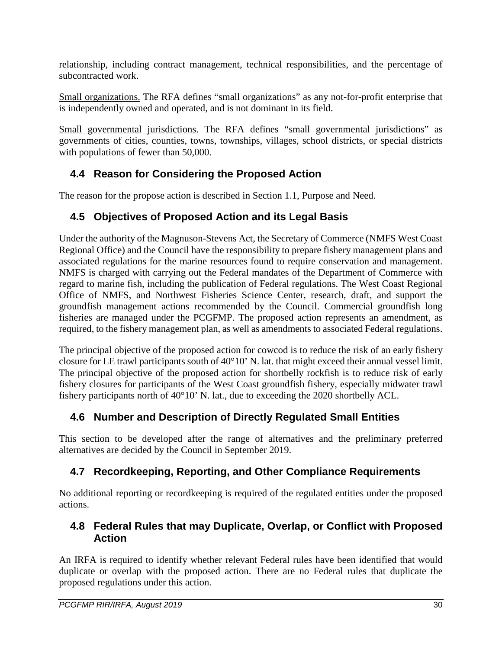relationship, including contract management, technical responsibilities, and the percentage of subcontracted work.

Small organizations. The RFA defines "small organizations" as any not-for-profit enterprise that is independently owned and operated, and is not dominant in its field.

Small governmental jurisdictions. The RFA defines "small governmental jurisdictions" as governments of cities, counties, towns, townships, villages, school districts, or special districts with populations of fewer than 50,000.

### <span id="page-29-0"></span>**4.4 Reason for Considering the Proposed Action**

The reason for the propose action is described in Section [1.1, Purpose and Need.](#page-9-0)

### <span id="page-29-1"></span>**4.5 Objectives of Proposed Action and its Legal Basis**

Under the authority of the Magnuson-Stevens Act, the Secretary of Commerce (NMFS West Coast Regional Office) and the Council have the responsibility to prepare fishery management plans and associated regulations for the marine resources found to require conservation and management. NMFS is charged with carrying out the Federal mandates of the Department of Commerce with regard to marine fish, including the publication of Federal regulations. The West Coast Regional Office of NMFS, and Northwest Fisheries Science Center, research, draft, and support the groundfish management actions recommended by the Council. Commercial groundfish long fisheries are managed under the PCGFMP. The proposed action represents an amendment, as required, to the fishery management plan, as well as amendments to associated Federal regulations.

The principal objective of the proposed action for cowcod is to reduce the risk of an early fishery closure for LE trawl participants south of 40°10' N. lat. that might exceed their annual vessel limit. The principal objective of the proposed action for shortbelly rockfish is to reduce risk of early fishery closures for participants of the West Coast groundfish fishery, especially midwater trawl fishery participants north of 40°10' N. lat., due to exceeding the 2020 shortbelly ACL.

## <span id="page-29-2"></span>**4.6 Number and Description of Directly Regulated Small Entities**

This section to be developed after the range of alternatives and the preliminary preferred alternatives are decided by the Council in September 2019.

## <span id="page-29-3"></span>**4.7 Recordkeeping, Reporting, and Other Compliance Requirements**

No additional reporting or recordkeeping is required of the regulated entities under the proposed actions.

### <span id="page-29-4"></span>**4.8 Federal Rules that may Duplicate, Overlap, or Conflict with Proposed Action**

An IRFA is required to identify whether relevant Federal rules have been identified that would duplicate or overlap with the proposed action. There are no Federal rules that duplicate the proposed regulations under this action.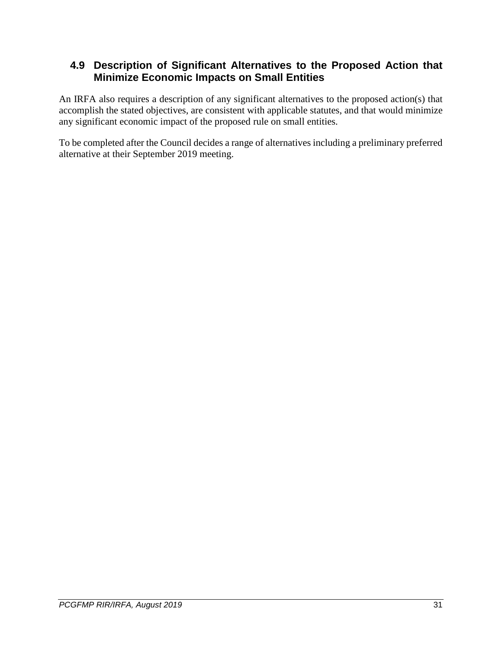### <span id="page-30-0"></span>**4.9 Description of Significant Alternatives to the Proposed Action that Minimize Economic Impacts on Small Entities**

An IRFA also requires a description of any significant alternatives to the proposed action(s) that accomplish the stated objectives, are consistent with applicable statutes, and that would minimize any significant economic impact of the proposed rule on small entities.

To be completed after the Council decides a range of alternatives including a preliminary preferred alternative at their September 2019 meeting.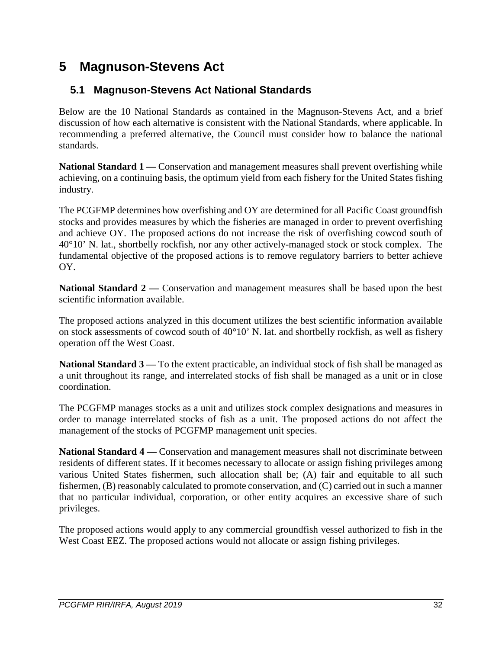# <span id="page-31-0"></span>**5 Magnuson-Stevens Act**

## <span id="page-31-1"></span>**5.1 Magnuson-Stevens Act National Standards**

Below are the 10 National Standards as contained in the Magnuson-Stevens Act, and a brief discussion of how each alternative is consistent with the National Standards, where applicable. In recommending a preferred alternative, the Council must consider how to balance the national standards.

**National Standard 1** — Conservation and management measures shall prevent overfishing while achieving, on a continuing basis, the optimum yield from each fishery for the United States fishing industry.

The PCGFMP determines how overfishing and OY are determined for all Pacific Coast groundfish stocks and provides measures by which the fisheries are managed in order to prevent overfishing and achieve OY. The proposed actions do not increase the risk of overfishing cowcod south of 40°10' N. lat., shortbelly rockfish, nor any other actively-managed stock or stock complex. The fundamental objective of the proposed actions is to remove regulatory barriers to better achieve OY.

**National Standard 2 —** Conservation and management measures shall be based upon the best scientific information available.

The proposed actions analyzed in this document utilizes the best scientific information available on stock assessments of cowcod south of 40°10' N. lat. and shortbelly rockfish, as well as fishery operation off the West Coast.

**National Standard 3 —** To the extent practicable, an individual stock of fish shall be managed as a unit throughout its range, and interrelated stocks of fish shall be managed as a unit or in close coordination.

The PCGFMP manages stocks as a unit and utilizes stock complex designations and measures in order to manage interrelated stocks of fish as a unit. The proposed actions do not affect the management of the stocks of PCGFMP management unit species.

**National Standard 4 —** Conservation and management measures shall not discriminate between residents of different states. If it becomes necessary to allocate or assign fishing privileges among various United States fishermen, such allocation shall be; (A) fair and equitable to all such fishermen, (B) reasonably calculated to promote conservation, and (C) carried out in such a manner that no particular individual, corporation, or other entity acquires an excessive share of such privileges.

The proposed actions would apply to any commercial groundfish vessel authorized to fish in the West Coast EEZ. The proposed actions would not allocate or assign fishing privileges.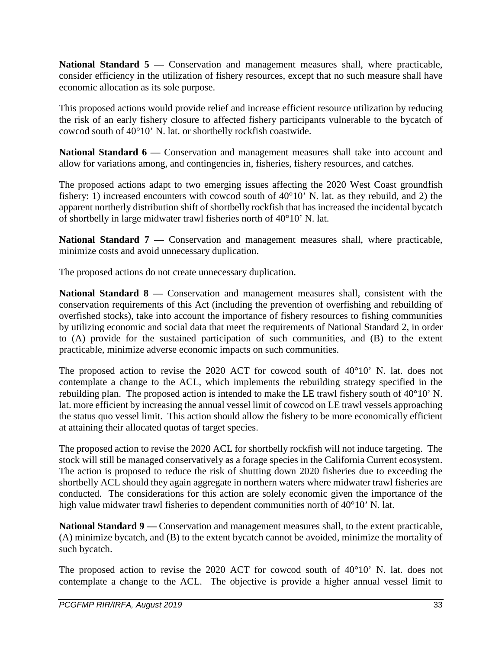**National Standard 5 —** Conservation and management measures shall, where practicable, consider efficiency in the utilization of fishery resources, except that no such measure shall have economic allocation as its sole purpose.

This proposed actions would provide relief and increase efficient resource utilization by reducing the risk of an early fishery closure to affected fishery participants vulnerable to the bycatch of cowcod south of 40°10' N. lat. or shortbelly rockfish coastwide.

**National Standard 6 —** Conservation and management measures shall take into account and allow for variations among, and contingencies in, fisheries, fishery resources, and catches.

The proposed actions adapt to two emerging issues affecting the 2020 West Coast groundfish fishery: 1) increased encounters with cowcod south of 40°10' N. lat. as they rebuild, and 2) the apparent northerly distribution shift of shortbelly rockfish that has increased the incidental bycatch of shortbelly in large midwater trawl fisheries north of 40°10' N. lat.

**National Standard 7 —** Conservation and management measures shall, where practicable, minimize costs and avoid unnecessary duplication.

The proposed actions do not create unnecessary duplication.

**National Standard 8 —** Conservation and management measures shall, consistent with the conservation requirements of this Act (including the prevention of overfishing and rebuilding of overfished stocks), take into account the importance of fishery resources to fishing communities by utilizing economic and social data that meet the requirements of National Standard 2, in order to (A) provide for the sustained participation of such communities, and (B) to the extent practicable, minimize adverse economic impacts on such communities.

The proposed action to revise the 2020 ACT for cowcod south of 40°10' N. lat. does not contemplate a change to the ACL, which implements the rebuilding strategy specified in the rebuilding plan. The proposed action is intended to make the LE trawl fishery south of 40°10' N. lat. more efficient by increasing the annual vessel limit of cowcod on LE trawl vessels approaching the status quo vessel limit. This action should allow the fishery to be more economically efficient at attaining their allocated quotas of target species.

The proposed action to revise the 2020 ACL for shortbelly rockfish will not induce targeting. The stock will still be managed conservatively as a forage species in the California Current ecosystem. The action is proposed to reduce the risk of shutting down 2020 fisheries due to exceeding the shortbelly ACL should they again aggregate in northern waters where midwater trawl fisheries are conducted. The considerations for this action are solely economic given the importance of the high value midwater trawl fisheries to dependent communities north of 40°10' N. lat.

**National Standard 9 —** Conservation and management measures shall, to the extent practicable, (A) minimize bycatch, and (B) to the extent bycatch cannot be avoided, minimize the mortality of such bycatch.

The proposed action to revise the 2020 ACT for cowcod south of 40°10' N. lat. does not contemplate a change to the ACL. The objective is provide a higher annual vessel limit to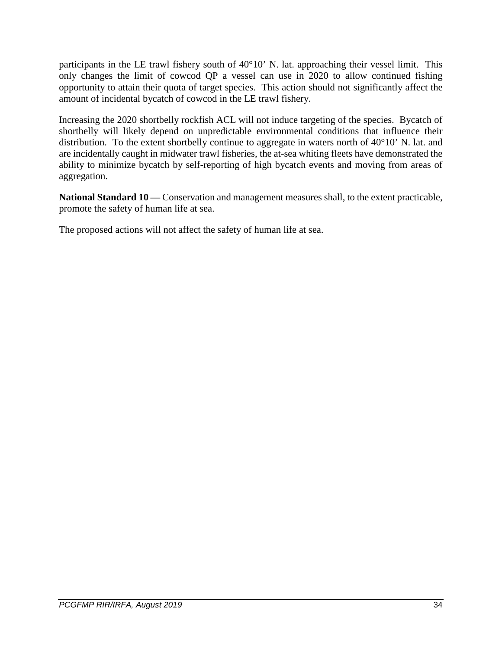participants in the LE trawl fishery south of 40°10' N. lat. approaching their vessel limit. This only changes the limit of cowcod QP a vessel can use in 2020 to allow continued fishing opportunity to attain their quota of target species. This action should not significantly affect the amount of incidental bycatch of cowcod in the LE trawl fishery.

Increasing the 2020 shortbelly rockfish ACL will not induce targeting of the species. Bycatch of shortbelly will likely depend on unpredictable environmental conditions that influence their distribution. To the extent shortbelly continue to aggregate in waters north of 40°10' N. lat. and are incidentally caught in midwater trawl fisheries, the at-sea whiting fleets have demonstrated the ability to minimize bycatch by self-reporting of high bycatch events and moving from areas of aggregation.

**National Standard 10 —** Conservation and management measures shall, to the extent practicable, promote the safety of human life at sea.

The proposed actions will not affect the safety of human life at sea.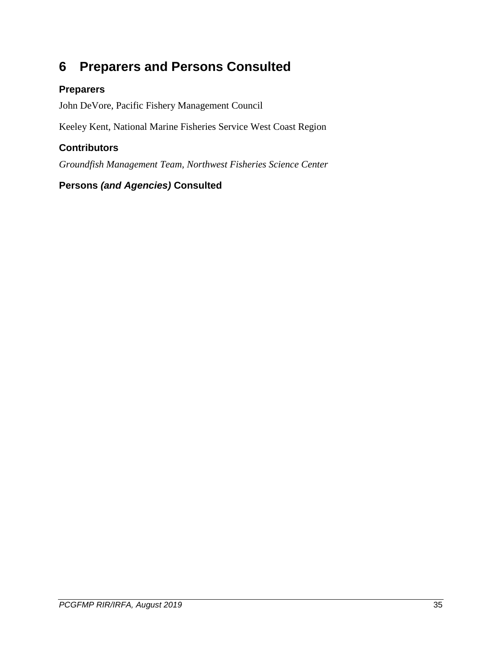# <span id="page-34-0"></span>**6 Preparers and Persons Consulted**

### **Preparers**

John DeVore, Pacific Fishery Management Council

Keeley Kent, National Marine Fisheries Service West Coast Region

### **Contributors**

*Groundfish Management Team, Northwest Fisheries Science Center*

### **Persons** *(and Agencies)* **Consulted**